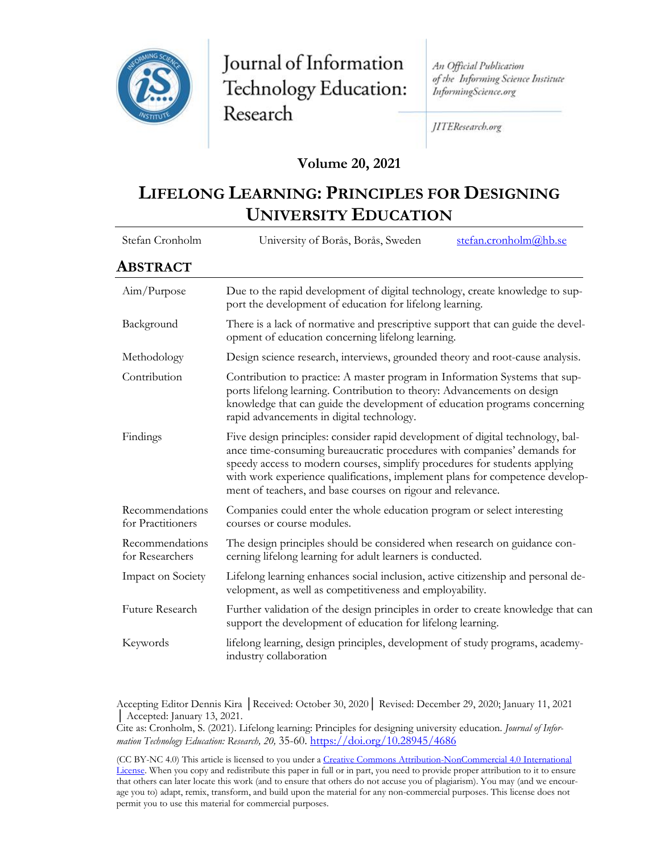

Journal of Information Technology Education: Research

An Official Publication of the Informing Science Institute InformingScience.org

JITEResearch.org

## **Volume 20, 2021**

# **LIFELONG LEARNING: PRINCIPLES FOR DESIGNING UNIVERSITY EDUCATION**

| Stefan Cronholm                      | stefan.cronholm@hb.se<br>University of Borås, Borås, Sweden                                                                                                                                                                                                                                                                                                                            |
|--------------------------------------|----------------------------------------------------------------------------------------------------------------------------------------------------------------------------------------------------------------------------------------------------------------------------------------------------------------------------------------------------------------------------------------|
| ABSTRACT                             |                                                                                                                                                                                                                                                                                                                                                                                        |
| Aim/Purpose                          | Due to the rapid development of digital technology, create knowledge to sup-<br>port the development of education for lifelong learning.                                                                                                                                                                                                                                               |
| Background                           | There is a lack of normative and prescriptive support that can guide the devel-<br>opment of education concerning lifelong learning.                                                                                                                                                                                                                                                   |
| Methodology                          | Design science research, interviews, grounded theory and root-cause analysis.                                                                                                                                                                                                                                                                                                          |
| Contribution                         | Contribution to practice: A master program in Information Systems that sup-<br>ports lifelong learning. Contribution to theory: Advancements on design<br>knowledge that can guide the development of education programs concerning<br>rapid advancements in digital technology.                                                                                                       |
| Findings                             | Five design principles: consider rapid development of digital technology, bal-<br>ance time-consuming bureaucratic procedures with companies' demands for<br>speedy access to modern courses, simplify procedures for students applying<br>with work experience qualifications, implement plans for competence develop-<br>ment of teachers, and base courses on rigour and relevance. |
| Recommendations<br>for Practitioners | Companies could enter the whole education program or select interesting<br>courses or course modules.                                                                                                                                                                                                                                                                                  |
| Recommendations<br>for Researchers   | The design principles should be considered when research on guidance con-<br>cerning lifelong learning for adult learners is conducted.                                                                                                                                                                                                                                                |
| Impact on Society                    | Lifelong learning enhances social inclusion, active citizenship and personal de-<br>velopment, as well as competitiveness and employability.                                                                                                                                                                                                                                           |
| Future Research                      | Further validation of the design principles in order to create knowledge that can<br>support the development of education for lifelong learning.                                                                                                                                                                                                                                       |
| Keywords                             | lifelong learning, design principles, development of study programs, academy-<br>industry collaboration                                                                                                                                                                                                                                                                                |

Accepting Editor Dennis Kira │Received: October 30, 2020│ Revised: December 29, 2020; January 11, 2021 │ Accepted: January 13, 2021.

Cite as: Cronholm, S. (2021). Lifelong learning: Principles for designing university education. *Journal of Information Technology Education: Research, 20,* 35-60.<https://doi.org/10.28945/4686>

(CC BY-NC 4.0) This article is licensed to you under a Creative Commons Attribution-[NonCommercial 4.0 International](https://creativecommons.org/licenses/by-nc/4.0/)  [License](https://creativecommons.org/licenses/by-nc/4.0/). When you copy and redistribute this paper in full or in part, you need to provide proper attribution to it to ensure that others can later locate this work (and to ensure that others do not accuse you of plagiarism). You may (and we encourage you to) adapt, remix, transform, and build upon the material for any non-commercial purposes. This license does not permit you to use this material for commercial purposes.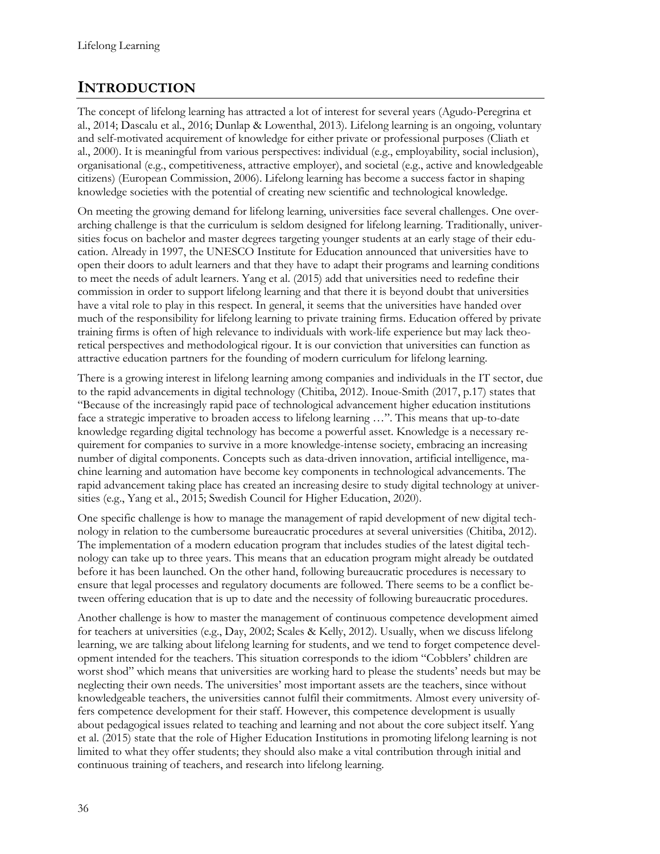# **INTRODUCTION**

The concept of lifelong learning has attracted a lot of interest for several years (Agudo-Peregrina et al., 2014; Dascalu et al., 2016; Dunlap & Lowenthal, 2013). Lifelong learning is an ongoing, voluntary and self-motivated acquirement of knowledge for either private or professional purposes (Cliath et al., 2000). It is meaningful from various perspectives: individual (e.g., employability, social inclusion), organisational (e.g., competitiveness, attractive employer), and societal (e.g., active and knowledgeable citizens) (European Commission, 2006). Lifelong learning has become a success factor in shaping knowledge societies with the potential of creating new scientific and technological knowledge.

On meeting the growing demand for lifelong learning, universities face several challenges. One overarching challenge is that the curriculum is seldom designed for lifelong learning. Traditionally, universities focus on bachelor and master degrees targeting younger students at an early stage of their education. Already in 1997, the UNESCO Institute for Education announced that universities have to open their doors to adult learners and that they have to adapt their programs and learning conditions to meet the needs of adult learners. Yang et al. (2015) add that universities need to redefine their commission in order to support lifelong learning and that there it is beyond doubt that universities have a vital role to play in this respect. In general, it seems that the universities have handed over much of the responsibility for lifelong learning to private training firms. Education offered by private training firms is often of high relevance to individuals with work-life experience but may lack theoretical perspectives and methodological rigour. It is our conviction that universities can function as attractive education partners for the founding of modern curriculum for lifelong learning.

There is a growing interest in lifelong learning among companies and individuals in the IT sector, due to the rapid advancements in digital technology (Chitiba, 2012). Inoue-Smith (2017, p.17) states that "Because of the increasingly rapid pace of technological advancement higher education institutions face a strategic imperative to broaden access to lifelong learning …". This means that up-to-date knowledge regarding digital technology has become a powerful asset. Knowledge is a necessary requirement for companies to survive in a more knowledge-intense society, embracing an increasing number of digital components. Concepts such as data-driven innovation, artificial intelligence, machine learning and automation have become key components in technological advancements. The rapid advancement taking place has created an increasing desire to study digital technology at universities (e.g., Yang et al., 2015; Swedish Council for Higher Education, 2020).

One specific challenge is how to manage the management of rapid development of new digital technology in relation to the cumbersome bureaucratic procedures at several universities (Chitiba, 2012). The implementation of a modern education program that includes studies of the latest digital technology can take up to three years. This means that an education program might already be outdated before it has been launched. On the other hand, following bureaucratic procedures is necessary to ensure that legal processes and regulatory documents are followed. There seems to be a conflict between offering education that is up to date and the necessity of following bureaucratic procedures.

Another challenge is how to master the management of continuous competence development aimed for teachers at universities (e.g., Day, 2002; Scales & Kelly, 2012). Usually, when we discuss lifelong learning, we are talking about lifelong learning for students, and we tend to forget competence development intended for the teachers. This situation corresponds to the idiom "Cobblers' children are worst shod" which means that universities are working hard to please the students' needs but may be neglecting their own needs. The universities' most important assets are the teachers, since without knowledgeable teachers, the universities cannot fulfil their commitments. Almost every university offers competence development for their staff. However, this competence development is usually about pedagogical issues related to teaching and learning and not about the core subject itself. Yang et al. (2015) state that the role of Higher Education Institutions in promoting lifelong learning is not limited to what they offer students; they should also make a vital contribution through initial and continuous training of teachers, and research into lifelong learning.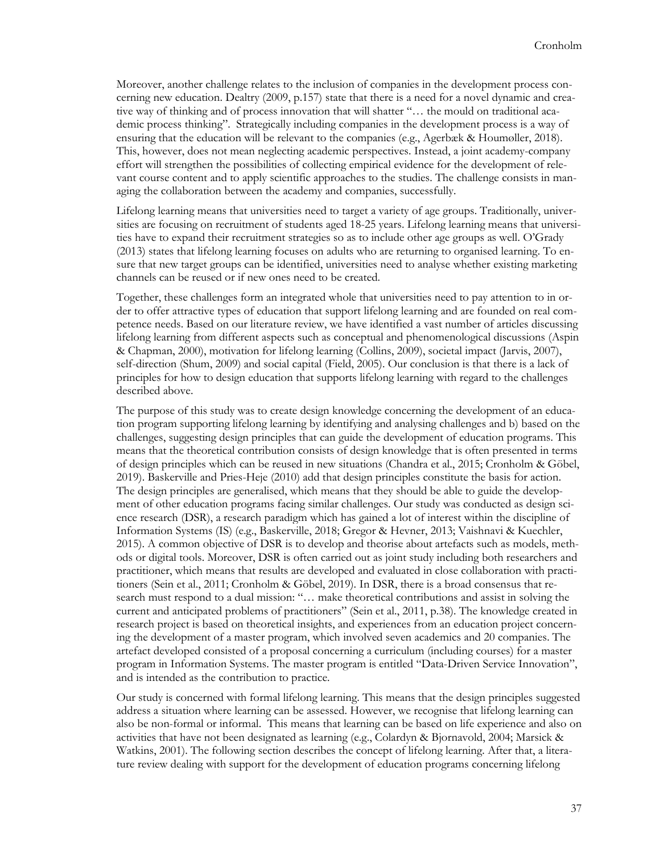Moreover, another challenge relates to the inclusion of companies in the development process concerning new education. Dealtry (2009, p.157) state that there is a need for a novel dynamic and creative way of thinking and of process innovation that will shatter "… the mould on traditional academic process thinking". Strategically including companies in the development process is a way of ensuring that the education will be relevant to the companies (e.g., Agerbæk & Houmøller, 2018). This, however, does not mean neglecting academic perspectives. Instead, a joint academy-company effort will strengthen the possibilities of collecting empirical evidence for the development of relevant course content and to apply scientific approaches to the studies. The challenge consists in managing the collaboration between the academy and companies, successfully.

Lifelong learning means that universities need to target a variety of age groups. Traditionally, universities are focusing on recruitment of students aged 18-25 years. Lifelong learning means that universities have to expand their recruitment strategies so as to include other age groups as well. O'Grady (2013) states that lifelong learning focuses on adults who are returning to organised learning. To ensure that new target groups can be identified, universities need to analyse whether existing marketing channels can be reused or if new ones need to be created.

Together, these challenges form an integrated whole that universities need to pay attention to in order to offer attractive types of education that support lifelong learning and are founded on real competence needs. Based on our literature review, we have identified a vast number of articles discussing lifelong learning from different aspects such as conceptual and phenomenological discussions (Aspin & Chapman, 2000), motivation for lifelong learning (Collins, 2009), societal impact (Jarvis, 2007), self-direction (Shum, 2009) and social capital (Field, 2005). Our conclusion is that there is a lack of principles for how to design education that supports lifelong learning with regard to the challenges described above.

The purpose of this study was to create design knowledge concerning the development of an education program supporting lifelong learning by identifying and analysing challenges and b) based on the challenges, suggesting design principles that can guide the development of education programs. This means that the theoretical contribution consists of design knowledge that is often presented in terms of design principles which can be reused in new situations (Chandra et al., 2015; Cronholm & Göbel, 2019). Baskerville and Pries-Heje (2010) add that design principles constitute the basis for action. The design principles are generalised, which means that they should be able to guide the development of other education programs facing similar challenges. Our study was conducted as design science research (DSR), a research paradigm which has gained a lot of interest within the discipline of Information Systems (IS) (e.g., Baskerville, 2018; Gregor & Hevner, 2013; Vaishnavi & Kuechler, 2015). A common objective of DSR is to develop and theorise about artefacts such as models, methods or digital tools. Moreover, DSR is often carried out as joint study including both researchers and practitioner, which means that results are developed and evaluated in close collaboration with practitioners (Sein et al., 2011; Cronholm & Göbel, 2019). In DSR, there is a broad consensus that research must respond to a dual mission: "… make theoretical contributions and assist in solving the current and anticipated problems of practitioners" (Sein et al., 2011, p.38). The knowledge created in research project is based on theoretical insights, and experiences from an education project concerning the development of a master program, which involved seven academics and 20 companies. The artefact developed consisted of a proposal concerning a curriculum (including courses) for a master program in Information Systems. The master program is entitled "Data-Driven Service Innovation", and is intended as the contribution to practice.

Our study is concerned with formal lifelong learning. This means that the design principles suggested address a situation where learning can be assessed. However, we recognise that lifelong learning can also be non-formal or informal. This means that learning can be based on life experience and also on activities that have not been designated as learning (e.g., Colardyn & Bjornavold, 2004; Marsick & Watkins, 2001). The following section describes the concept of lifelong learning. After that, a literature review dealing with support for the development of education programs concerning lifelong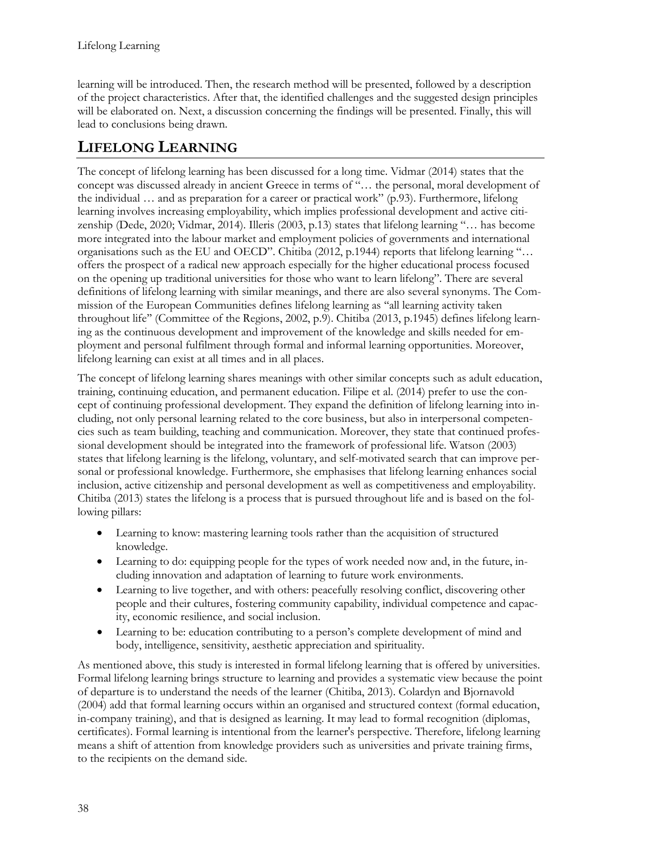learning will be introduced. Then, the research method will be presented, followed by a description of the project characteristics. After that, the identified challenges and the suggested design principles will be elaborated on. Next, a discussion concerning the findings will be presented. Finally, this will lead to conclusions being drawn.

# **LIFELONG LEARNING**

The concept of lifelong learning has been discussed for a long time. Vidmar (2014) states that the concept was discussed already in ancient Greece in terms of "… the personal, moral development of the individual … and as preparation for a career or practical work" (p.93). Furthermore, lifelong learning involves increasing employability, which implies professional development and active citizenship (Dede, 2020; Vidmar, 2014). Illeris (2003, p.13) states that lifelong learning "… has become more integrated into the labour market and employment policies of governments and international organisations such as the EU and OECD". Chitiba (2012, p.1944) reports that lifelong learning "… offers the prospect of a radical new approach especially for the higher educational process focused on the opening up traditional universities for those who want to learn lifelong". There are several definitions of lifelong learning with similar meanings, and there are also several synonyms. The Commission of the European Communities defines lifelong learning as ''all learning activity taken throughout life'' (Committee of the Regions, 2002, p.9). Chitiba (2013, p.1945) defines lifelong learning as the continuous development and improvement of the knowledge and skills needed for employment and personal fulfilment through formal and informal learning opportunities. Moreover, lifelong learning can exist at all times and in all places.

The concept of lifelong learning shares meanings with other similar concepts such as adult education, training, continuing education, and permanent education. Filipe et al. (2014) prefer to use the concept of continuing professional development. They expand the definition of lifelong learning into including, not only personal learning related to the core business, but also in interpersonal competencies such as team building, teaching and communication. Moreover, they state that continued professional development should be integrated into the framework of professional life. Watson (2003) states that lifelong learning is the lifelong, voluntary, and self-motivated search that can improve personal or professional knowledge. Furthermore, she emphasises that lifelong learning enhances social inclusion, active citizenship and personal development as well as competitiveness and employability. Chitiba (2013) states the lifelong is a process that is pursued throughout life and is based on the following pillars:

- Learning to know: mastering learning tools rather than the acquisition of structured knowledge.
- Learning to do: equipping people for the types of work needed now and, in the future, including innovation and adaptation of learning to future work environments.
- Learning to live together, and with others: peacefully resolving conflict, discovering other people and their cultures, fostering community capability, individual competence and capacity, economic resilience, and social inclusion.
- Learning to be: education contributing to a person's complete development of mind and body, intelligence, sensitivity, aesthetic appreciation and spirituality.

As mentioned above, this study is interested in formal lifelong learning that is offered by universities. Formal lifelong learning brings structure to learning and provides a systematic view because the point of departure is to understand the needs of the learner (Chitiba, 2013). Colardyn and Bjornavold (2004) add that formal learning occurs within an organised and structured context (formal education, in-company training), and that is designed as learning. It may lead to formal recognition (diplomas, certificates). Formal learning is intentional from the learner's perspective. Therefore, lifelong learning means a shift of attention from knowledge providers such as universities and private training firms, to the recipients on the demand side.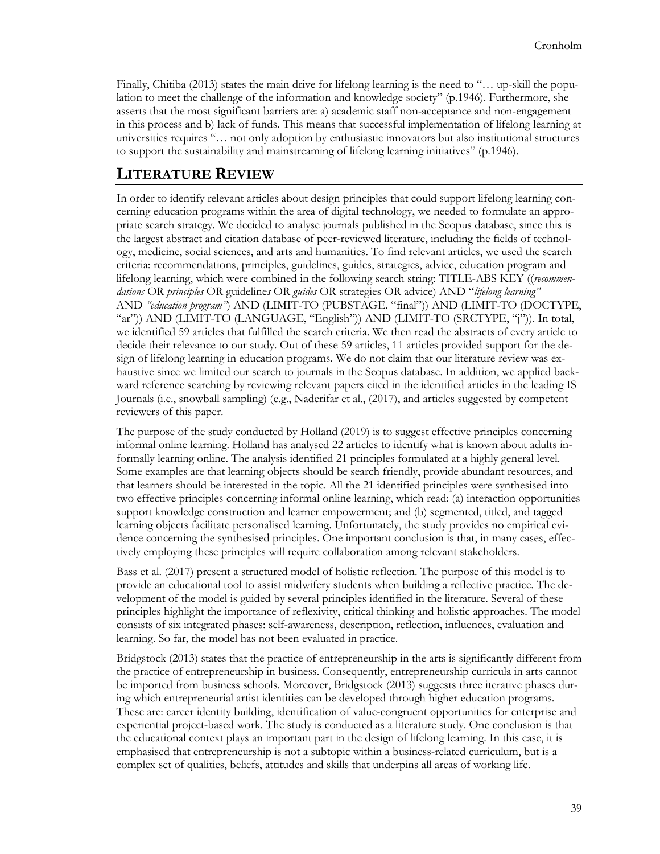Finally, Chitiba (2013) states the main drive for lifelong learning is the need to "... up-skill the population to meet the challenge of the information and knowledge society" (p.1946). Furthermore, she asserts that the most significant barriers are: a) academic staff non-acceptance and non-engagement in this process and b) lack of funds. This means that successful implementation of lifelong learning at universities requires "… not only adoption by enthusiastic innovators but also institutional structures to support the sustainability and mainstreaming of lifelong learning initiatives" (p.1946).

## **LITERATURE REVIEW**

In order to identify relevant articles about design principles that could support lifelong learning concerning education programs within the area of digital technology, we needed to formulate an appropriate search strategy. We decided to analyse journals published in the Scopus database, since this is the largest abstract and citation database of peer-reviewed literature, including the fields of technology, medicine, social sciences, and arts and humanities. To find relevant articles, we used the search criteria: recommendations, principles, guidelines, guides, strategies, advice, education program and lifelong learning, which were combined in the following search string: TITLE-ABS KEY ((*recommendations* OR *principles* OR guideline*s* OR *guides* OR strategies OR advice) AND "*lifelong learning"* AND *"education program"*) AND (LIMIT-TO (PUBSTAGE. "final")) AND (LIMIT-TO (DOCTYPE, "ar")) AND (LIMIT-TO (LANGUAGE, "English")) AND (LIMIT-TO (SRCTYPE, "j")). In total, we identified 59 articles that fulfilled the search criteria. We then read the abstracts of every article to decide their relevance to our study. Out of these 59 articles, 11 articles provided support for the design of lifelong learning in education programs. We do not claim that our literature review was exhaustive since we limited our search to journals in the Scopus database. In addition, we applied backward reference searching by reviewing relevant papers cited in the identified articles in the leading IS Journals (i.e., snowball sampling) (e.g., Naderifar et al., (2017), and articles suggested by competent reviewers of this paper.

The purpose of the study conducted by Holland (2019) is to suggest effective principles concerning informal online learning. Holland has analysed 22 articles to identify what is known about adults informally learning online. The analysis identified 21 principles formulated at a highly general level. Some examples are that learning objects should be search friendly, provide abundant resources, and that learners should be interested in the topic. All the 21 identified principles were synthesised into two effective principles concerning informal online learning, which read: (a) interaction opportunities support knowledge construction and learner empowerment; and (b) segmented, titled, and tagged learning objects facilitate personalised learning. Unfortunately, the study provides no empirical evidence concerning the synthesised principles. One important conclusion is that, in many cases, effectively employing these principles will require collaboration among relevant stakeholders.

Bass et al. (2017) present a structured model of holistic reflection. The purpose of this model is to provide an educational tool to assist midwifery students when building a reflective practice. The development of the model is guided by several principles identified in the literature. Several of these principles highlight the importance of reflexivity, critical thinking and holistic approaches. The model consists of six integrated phases: self-awareness, description, reflection, influences, evaluation and learning. So far, the model has not been evaluated in practice.

Bridgstock (2013) states that the practice of entrepreneurship in the arts is significantly different from the practice of entrepreneurship in business. Consequently, entrepreneurship curricula in arts cannot be imported from business schools. Moreover, Bridgstock (2013) suggests three iterative phases during which entrepreneurial artist identities can be developed through higher education programs. These are: career identity building, identification of value-congruent opportunities for enterprise and experiential project-based work. The study is conducted as a literature study. One conclusion is that the educational context plays an important part in the design of lifelong learning. In this case, it is emphasised that entrepreneurship is not a subtopic within a business-related curriculum, but is a complex set of qualities, beliefs, attitudes and skills that underpins all areas of working life.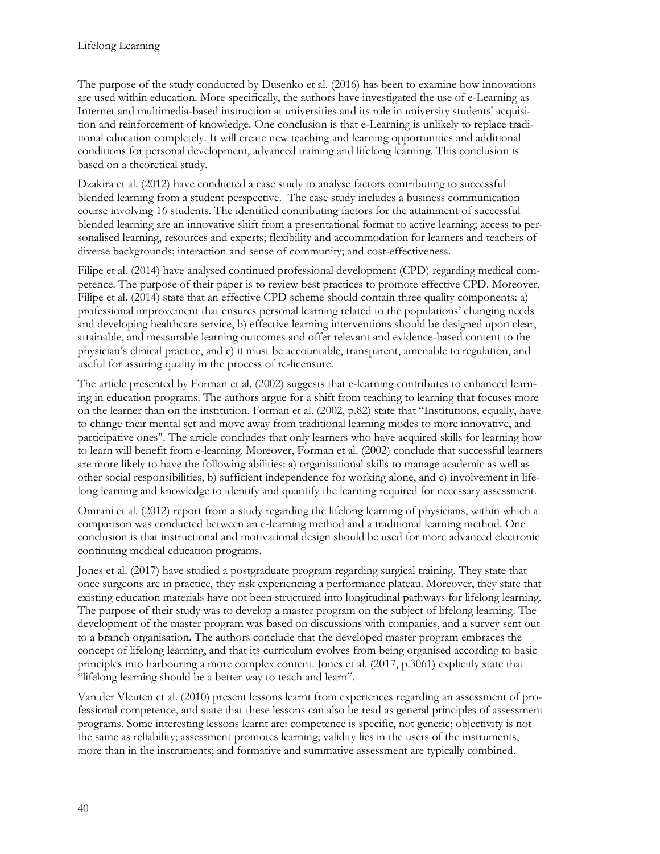The purpose of the study conducted by Dusenko et al. (2016) has been to examine how innovations are used within education. More specifically, the authors have investigated the use of e-Learning as Internet and multimedia-based instruction at universities and its role in university students' acquisition and reinforcement of knowledge. One conclusion is that e-Learning is unlikely to replace traditional education completely. It will create new teaching and learning opportunities and additional conditions for personal development, advanced training and lifelong learning. This conclusion is based on a theoretical study.

Dzakira et al. (2012) have conducted a case study to analyse factors contributing to successful blended learning from a student perspective. The case study includes a business communication course involving 16 students. The identified contributing factors for the attainment of successful blended learning are an innovative shift from a presentational format to active learning; access to personalised learning, resources and experts; flexibility and accommodation for learners and teachers of diverse backgrounds; interaction and sense of community; and cost-effectiveness.

Filipe et al. (2014) have analysed continued professional development (CPD) regarding medical competence. The purpose of their paper is to review best practices to promote effective CPD. Moreover, Filipe et al. (2014) state that an effective CPD scheme should contain three quality components: a) professional improvement that ensures personal learning related to the populations' changing needs and developing healthcare service, b) effective learning interventions should be designed upon clear, attainable, and measurable learning outcomes and offer relevant and evidence-based content to the physician's clinical practice, and c) it must be accountable, transparent, amenable to regulation, and useful for assuring quality in the process of re-licensure.

The article presented by Forman et al. (2002) suggests that e-learning contributes to enhanced learning in education programs. The authors argue for a shift from teaching to learning that focuses more on the learner than on the institution. Forman et al. (2002, p.82) state that "Institutions, equally, have to change their mental set and move away from traditional learning modes to more innovative, and participative ones". The article concludes that only learners who have acquired skills for learning how to learn will benefit from e-learning. Moreover, Forman et al. (2002) conclude that successful learners are more likely to have the following abilities: a) organisational skills to manage academic as well as other social responsibilities, b) sufficient independence for working alone, and c) involvement in lifelong learning and knowledge to identify and quantify the learning required for necessary assessment.

Omrani et al. (2012) report from a study regarding the lifelong learning of physicians, within which a comparison was conducted between an e-learning method and a traditional learning method. One conclusion is that instructional and motivational design should be used for more advanced electronic continuing medical education programs.

Jones et al. (2017) have studied a postgraduate program regarding surgical training. They state that once surgeons are in practice, they risk experiencing a performance plateau. Moreover, they state that existing education materials have not been structured into longitudinal pathways for lifelong learning. The purpose of their study was to develop a master program on the subject of lifelong learning. The development of the master program was based on discussions with companies, and a survey sent out to a branch organisation. The authors conclude that the developed master program embraces the concept of lifelong learning, and that its curriculum evolves from being organised according to basic principles into harbouring a more complex content. Jones et al. (2017, p.3061) explicitly state that "lifelong learning should be a better way to teach and learn".

Van der Vleuten et al. (2010) present lessons learnt from experiences regarding an assessment of professional competence, and state that these lessons can also be read as general principles of assessment programs. Some interesting lessons learnt are: competence is specific, not generic; objectivity is not the same as reliability; assessment promotes learning; validity lies in the users of the instruments, more than in the instruments; and formative and summative assessment are typically combined.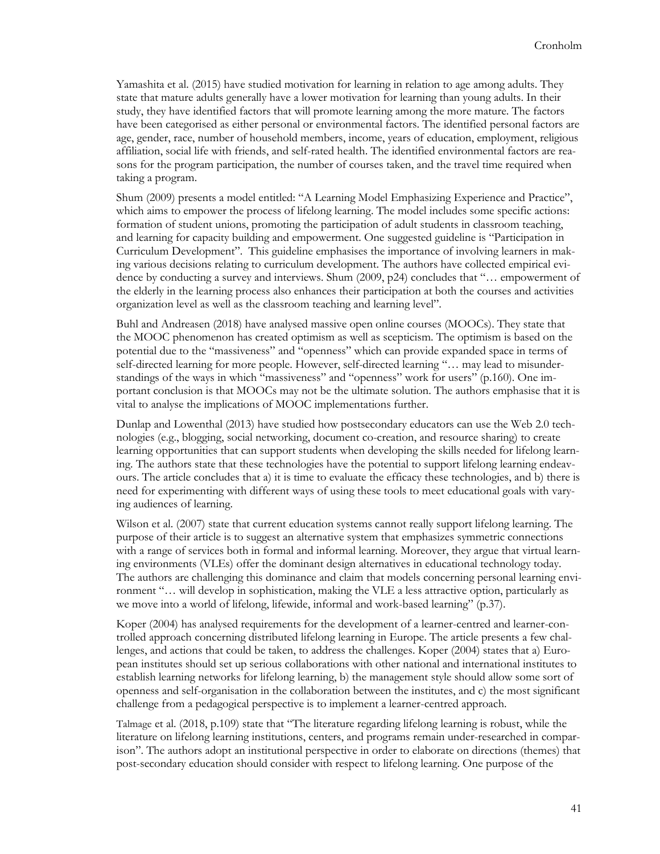Yamashita et al. (2015) have studied motivation for learning in relation to age among adults. They state that mature adults generally have a lower motivation for learning than young adults. In their study, they have identified factors that will promote learning among the more mature. The factors have been categorised as either personal or environmental factors. The identified personal factors are age, gender, race, number of household members, income, years of education, employment, religious affiliation, social life with friends, and self-rated health. The identified environmental factors are reasons for the program participation, the number of courses taken, and the travel time required when taking a program.

Shum (2009) presents a model entitled: "A Learning Model Emphasizing Experience and Practice", which aims to empower the process of lifelong learning. The model includes some specific actions: formation of student unions, promoting the participation of adult students in classroom teaching, and learning for capacity building and empowerment. One suggested guideline is "Participation in Curriculum Development". This guideline emphasises the importance of involving learners in making various decisions relating to curriculum development. The authors have collected empirical evidence by conducting a survey and interviews. Shum (2009, p24) concludes that "… empowerment of the elderly in the learning process also enhances their participation at both the courses and activities organization level as well as the classroom teaching and learning level".

Buhl and Andreasen (2018) have analysed massive open online courses (MOOCs). They state that the MOOC phenomenon has created optimism as well as scepticism. The optimism is based on the potential due to the "massiveness" and "openness" which can provide expanded space in terms of self-directed learning for more people. However, self-directed learning "… may lead to misunderstandings of the ways in which "massiveness" and "openness" work for users" (p.160). One important conclusion is that MOOCs may not be the ultimate solution. The authors emphasise that it is vital to analyse the implications of MOOC implementations further.

Dunlap and Lowenthal (2013) have studied how postsecondary educators can use the Web 2.0 technologies (e.g., blogging, social networking, document co-creation, and resource sharing) to create learning opportunities that can support students when developing the skills needed for lifelong learning. The authors state that these technologies have the potential to support lifelong learning endeavours. The article concludes that a) it is time to evaluate the efficacy these technologies, and b) there is need for experimenting with different ways of using these tools to meet educational goals with varying audiences of learning.

Wilson et al. (2007) state that current education systems cannot really support lifelong learning. The purpose of their article is to suggest an alternative system that emphasizes symmetric connections with a range of services both in formal and informal learning. Moreover, they argue that virtual learning environments (VLEs) offer the dominant design alternatives in educational technology today. The authors are challenging this dominance and claim that models concerning personal learning environment "… will develop in sophistication, making the VLE a less attractive option, particularly as we move into a world of lifelong, lifewide, informal and work-based learning" (p.37).

Koper (2004) has analysed requirements for the development of a learner-centred and learner-controlled approach concerning distributed lifelong learning in Europe. The article presents a few challenges, and actions that could be taken, to address the challenges. Koper (2004) states that a) European institutes should set up serious collaborations with other national and international institutes to establish learning networks for lifelong learning, b) the management style should allow some sort of openness and self-organisation in the collaboration between the institutes, and c) the most significant challenge from a pedagogical perspective is to implement a learner-centred approach.

Talmage et al. (2018, p.109) state that "The literature regarding lifelong learning is robust, while the literature on lifelong learning institutions, centers, and programs remain under-researched in comparison". The authors adopt an institutional perspective in order to elaborate on directions (themes) that post-secondary education should consider with respect to lifelong learning. One purpose of the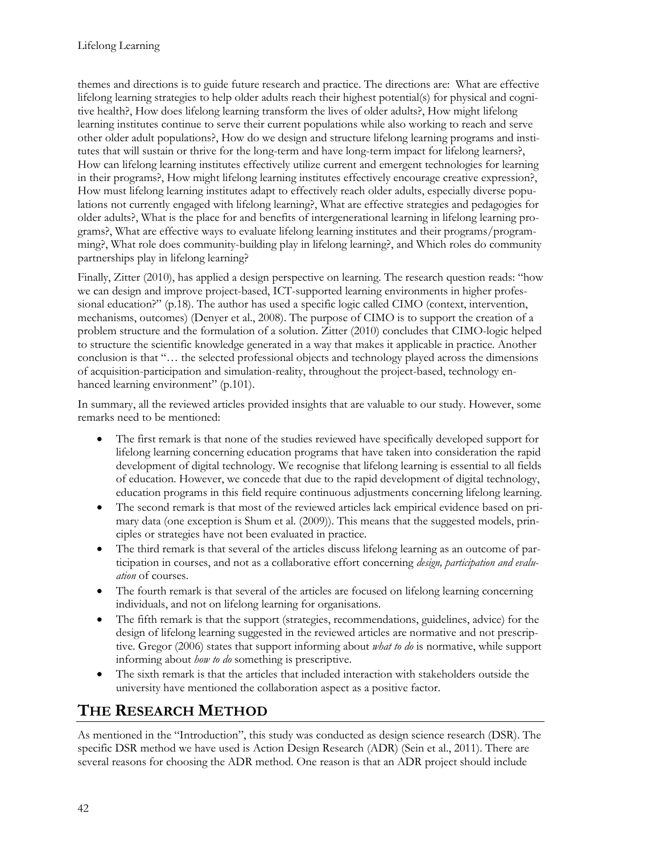themes and directions is to guide future research and practice. The directions are: What are effective lifelong learning strategies to help older adults reach their highest potential(s) for physical and cognitive health?, How does lifelong learning transform the lives of older adults?, How might lifelong learning institutes continue to serve their current populations while also working to reach and serve other older adult populations?, How do we design and structure lifelong learning programs and institutes that will sustain or thrive for the long-term and have long-term impact for lifelong learners?, How can lifelong learning institutes effectively utilize current and emergent technologies for learning in their programs?, How might lifelong learning institutes effectively encourage creative expression?, How must lifelong learning institutes adapt to effectively reach older adults, especially diverse populations not currently engaged with lifelong learning?, What are effective strategies and pedagogies for older adults?, What is the place for and benefits of intergenerational learning in lifelong learning programs?, What are effective ways to evaluate lifelong learning institutes and their programs/programming?, What role does community-building play in lifelong learning?, and Which roles do community partnerships play in lifelong learning?

Finally, Zitter (2010), has applied a design perspective on learning. The research question reads: "how we can design and improve project-based, ICT-supported learning environments in higher professional education?" (p.18). The author has used a specific logic called CIMO (context, intervention, mechanisms, outcomes) (Denyer et al., 2008). The purpose of CIMO is to support the creation of a problem structure and the formulation of a solution. Zitter (2010) concludes that CIMO-logic helped to structure the scientific knowledge generated in a way that makes it applicable in practice. Another conclusion is that "… the selected professional objects and technology played across the dimensions of acquisition-participation and simulation-reality, throughout the project-based, technology enhanced learning environment" (p.101).

In summary, all the reviewed articles provided insights that are valuable to our study. However, some remarks need to be mentioned:

- The first remark is that none of the studies reviewed have specifically developed support for lifelong learning concerning education programs that have taken into consideration the rapid development of digital technology. We recognise that lifelong learning is essential to all fields of education. However, we concede that due to the rapid development of digital technology, education programs in this field require continuous adjustments concerning lifelong learning.
- The second remark is that most of the reviewed articles lack empirical evidence based on primary data (one exception is Shum et al. (2009)). This means that the suggested models, principles or strategies have not been evaluated in practice.
- The third remark is that several of the articles discuss lifelong learning as an outcome of participation in courses, and not as a collaborative effort concerning *design, participation and evaluation* of courses.
- The fourth remark is that several of the articles are focused on lifelong learning concerning individuals, and not on lifelong learning for organisations.
- The fifth remark is that the support (strategies, recommendations, guidelines, advice) for the design of lifelong learning suggested in the reviewed articles are normative and not prescriptive. Gregor (2006) states that support informing about *what to do* is normative, while support informing about *how to do* something is prescriptive.
- The sixth remark is that the articles that included interaction with stakeholders outside the university have mentioned the collaboration aspect as a positive factor.

# **THE RESEARCH METHOD**

As mentioned in the "Introduction", this study was conducted as design science research (DSR). The specific DSR method we have used is Action Design Research (ADR) (Sein et al., 2011). There are several reasons for choosing the ADR method. One reason is that an ADR project should include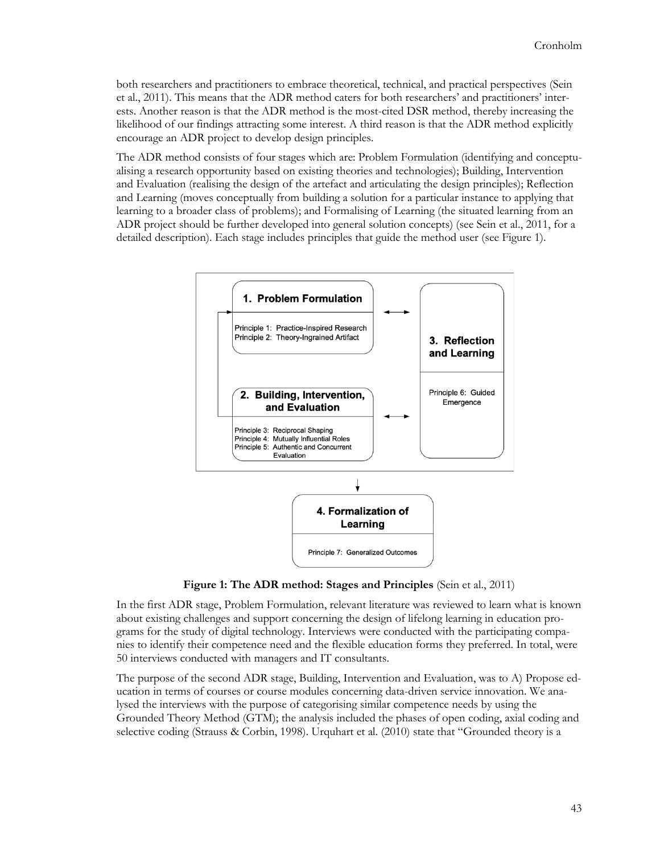both researchers and practitioners to embrace theoretical, technical, and practical perspectives (Sein et al., 2011). This means that the ADR method caters for both researchers' and practitioners' interests. Another reason is that the ADR method is the most-cited DSR method, thereby increasing the likelihood of our findings attracting some interest. A third reason is that the ADR method explicitly encourage an ADR project to develop design principles.

The ADR method consists of four stages which are: Problem Formulation (identifying and conceptualising a research opportunity based on existing theories and technologies); Building, Intervention and Evaluation (realising the design of the artefact and articulating the design principles); Reflection and Learning (moves conceptually from building a solution for a particular instance to applying that learning to a broader class of problems); and Formalising of Learning (the situated learning from an ADR project should be further developed into general solution concepts) (see Sein et al., 2011, for a detailed description). Each stage includes principles that guide the method user (see Figure 1).



**Figure 1: The ADR method: Stages and Principles** (Sein et al., 2011)

In the first ADR stage, Problem Formulation, relevant literature was reviewed to learn what is known about existing challenges and support concerning the design of lifelong learning in education programs for the study of digital technology. Interviews were conducted with the participating companies to identify their competence need and the flexible education forms they preferred. In total, were 50 interviews conducted with managers and IT consultants.

The purpose of the second ADR stage, Building, Intervention and Evaluation, was to A) Propose education in terms of courses or course modules concerning data-driven service innovation. We analysed the interviews with the purpose of categorising similar competence needs by using the Grounded Theory Method (GTM); the analysis included the phases of open coding, axial coding and selective coding (Strauss & Corbin, 1998). Urquhart et al. (2010) state that "Grounded theory is a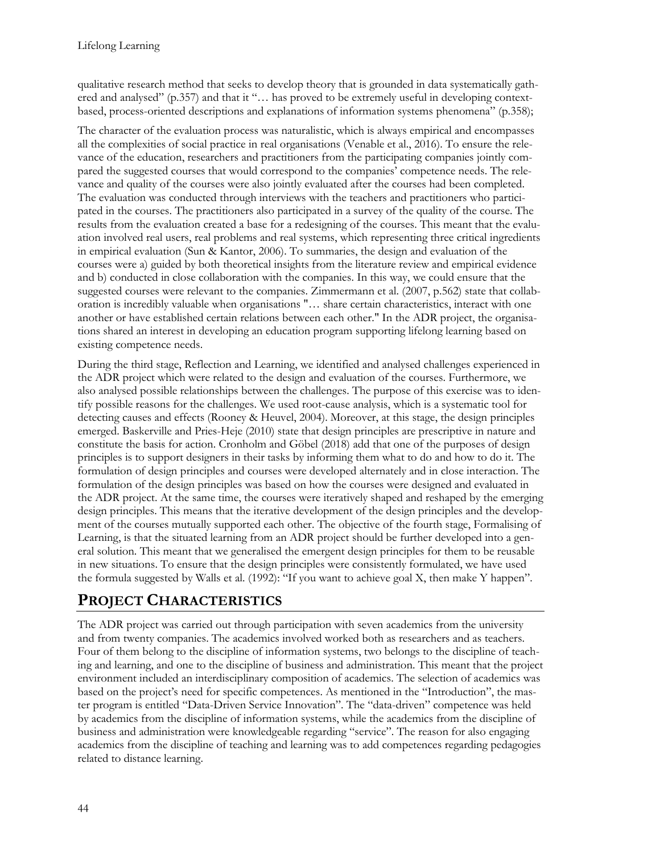qualitative research method that seeks to develop theory that is grounded in data systematically gathered and analysed" (p.357) and that it "... has proved to be extremely useful in developing contextbased, process-oriented descriptions and explanations of information systems phenomena" (p.358);

The character of the evaluation process was naturalistic, which is always empirical and encompasses all the complexities of social practice in real organisations (Venable et al., 2016). To ensure the relevance of the education, researchers and practitioners from the participating companies jointly compared the suggested courses that would correspond to the companies' competence needs. The relevance and quality of the courses were also jointly evaluated after the courses had been completed. The evaluation was conducted through interviews with the teachers and practitioners who participated in the courses. The practitioners also participated in a survey of the quality of the course. The results from the evaluation created a base for a redesigning of the courses. This meant that the evaluation involved real users, real problems and real systems, which representing three critical ingredients in empirical evaluation (Sun & Kantor, 2006). To summaries, the design and evaluation of the courses were a) guided by both theoretical insights from the literature review and empirical evidence and b) conducted in close collaboration with the companies. In this way, we could ensure that the suggested courses were relevant to the companies. Zimmermann et al. (2007, p.562) state that collaboration is incredibly valuable when organisations "… share certain characteristics, interact with one another or have established certain relations between each other." In the ADR project, the organisations shared an interest in developing an education program supporting lifelong learning based on existing competence needs.

During the third stage, Reflection and Learning, we identified and analysed challenges experienced in the ADR project which were related to the design and evaluation of the courses. Furthermore, we also analysed possible relationships between the challenges. The purpose of this exercise was to identify possible reasons for the challenges. We used root-cause analysis, which is a systematic tool for detecting causes and effects (Rooney & Heuvel, 2004). Moreover, at this stage, the design principles emerged. Baskerville and Pries-Heje (2010) state that design principles are prescriptive in nature and constitute the basis for action. Cronholm and Göbel (2018) add that one of the purposes of design principles is to support designers in their tasks by informing them what to do and how to do it. The formulation of design principles and courses were developed alternately and in close interaction. The formulation of the design principles was based on how the courses were designed and evaluated in the ADR project. At the same time, the courses were iteratively shaped and reshaped by the emerging design principles. This means that the iterative development of the design principles and the development of the courses mutually supported each other. The objective of the fourth stage, Formalising of Learning, is that the situated learning from an ADR project should be further developed into a general solution. This meant that we generalised the emergent design principles for them to be reusable in new situations. To ensure that the design principles were consistently formulated, we have used the formula suggested by Walls et al. (1992): "If you want to achieve goal X, then make Y happen".

## **PROJECT CHARACTERISTICS**

The ADR project was carried out through participation with seven academics from the university and from twenty companies. The academics involved worked both as researchers and as teachers. Four of them belong to the discipline of information systems, two belongs to the discipline of teaching and learning, and one to the discipline of business and administration. This meant that the project environment included an interdisciplinary composition of academics. The selection of academics was based on the project's need for specific competences. As mentioned in the "Introduction", the master program is entitled "Data-Driven Service Innovation". The "data-driven" competence was held by academics from the discipline of information systems, while the academics from the discipline of business and administration were knowledgeable regarding "service". The reason for also engaging academics from the discipline of teaching and learning was to add competences regarding pedagogies related to distance learning.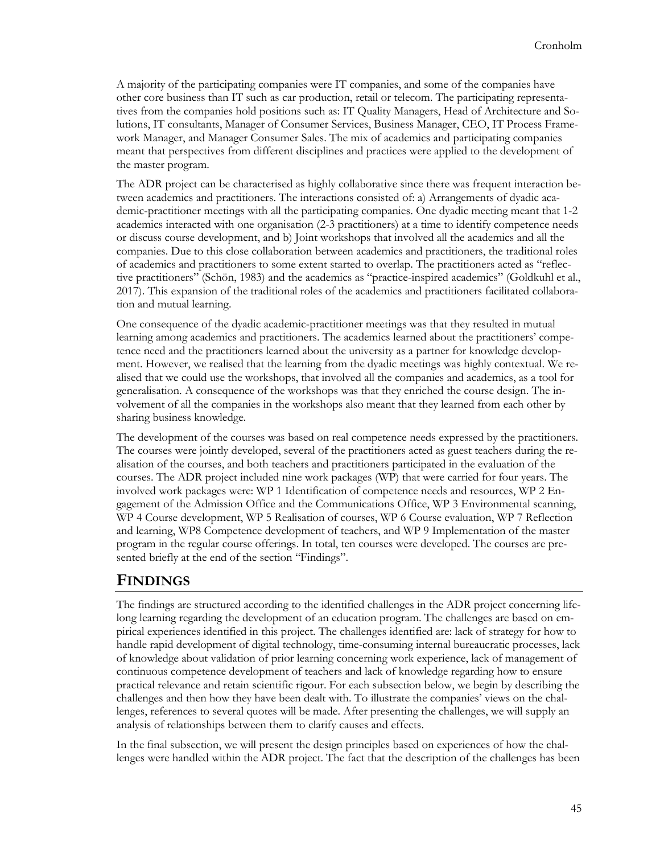A majority of the participating companies were IT companies, and some of the companies have other core business than IT such as car production, retail or telecom. The participating representatives from the companies hold positions such as: IT Quality Managers, Head of Architecture and Solutions, IT consultants, Manager of Consumer Services, Business Manager, CEO, IT Process Framework Manager, and Manager Consumer Sales. The mix of academics and participating companies meant that perspectives from different disciplines and practices were applied to the development of the master program.

The ADR project can be characterised as highly collaborative since there was frequent interaction between academics and practitioners. The interactions consisted of: a) Arrangements of dyadic academic-practitioner meetings with all the participating companies. One dyadic meeting meant that 1-2 academics interacted with one organisation (2-3 practitioners) at a time to identify competence needs or discuss course development, and b) Joint workshops that involved all the academics and all the companies. Due to this close collaboration between academics and practitioners, the traditional roles of academics and practitioners to some extent started to overlap. The practitioners acted as "reflective practitioners" (Schön, 1983) and the academics as "practice-inspired academics" (Goldkuhl et al., 2017). This expansion of the traditional roles of the academics and practitioners facilitated collaboration and mutual learning.

One consequence of the dyadic academic-practitioner meetings was that they resulted in mutual learning among academics and practitioners. The academics learned about the practitioners' competence need and the practitioners learned about the university as a partner for knowledge development. However, we realised that the learning from the dyadic meetings was highly contextual. We realised that we could use the workshops, that involved all the companies and academics, as a tool for generalisation. A consequence of the workshops was that they enriched the course design. The involvement of all the companies in the workshops also meant that they learned from each other by sharing business knowledge.

The development of the courses was based on real competence needs expressed by the practitioners. The courses were jointly developed, several of the practitioners acted as guest teachers during the realisation of the courses, and both teachers and practitioners participated in the evaluation of the courses. The ADR project included nine work packages (WP) that were carried for four years. The involved work packages were: WP 1 Identification of competence needs and resources, WP 2 Engagement of the Admission Office and the Communications Office, WP 3 Environmental scanning, WP 4 Course development, WP 5 Realisation of courses, WP 6 Course evaluation, WP 7 Reflection and learning, WP8 Competence development of teachers, and WP 9 Implementation of the master program in the regular course offerings. In total, ten courses were developed. The courses are presented briefly at the end of the section "Findings".

## **FINDINGS**

The findings are structured according to the identified challenges in the ADR project concerning lifelong learning regarding the development of an education program. The challenges are based on empirical experiences identified in this project. The challenges identified are: lack of strategy for how to handle rapid development of digital technology, time-consuming internal bureaucratic processes, lack of knowledge about validation of prior learning concerning work experience, lack of management of continuous competence development of teachers and lack of knowledge regarding how to ensure practical relevance and retain scientific rigour. For each subsection below, we begin by describing the challenges and then how they have been dealt with. To illustrate the companies' views on the challenges, references to several quotes will be made. After presenting the challenges, we will supply an analysis of relationships between them to clarify causes and effects.

In the final subsection, we will present the design principles based on experiences of how the challenges were handled within the ADR project. The fact that the description of the challenges has been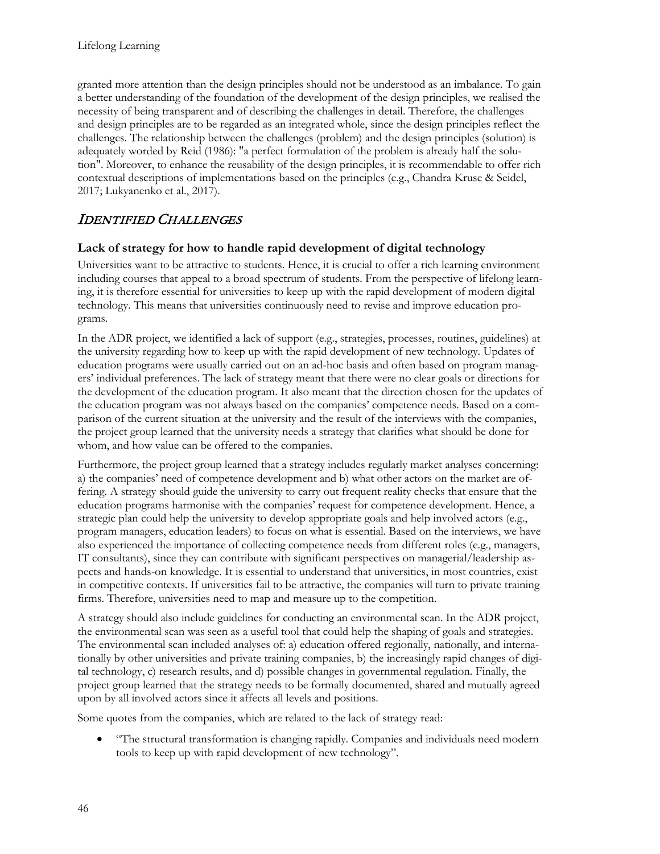granted more attention than the design principles should not be understood as an imbalance. To gain a better understanding of the foundation of the development of the design principles, we realised the necessity of being transparent and of describing the challenges in detail. Therefore, the challenges and design principles are to be regarded as an integrated whole, since the design principles reflect the challenges. The relationship between the challenges (problem) and the design principles (solution) is adequately worded by Reid (1986): "a perfect formulation of the problem is already half the solution". Moreover, to enhance the reusability of the design principles, it is recommendable to offer rich contextual descriptions of implementations based on the principles (e.g., Chandra Kruse & Seidel, 2017; Lukyanenko et al., 2017).

## IDENTIFIED CHALLENGES

### **Lack of strategy for how to handle rapid development of digital technology**

Universities want to be attractive to students. Hence, it is crucial to offer a rich learning environment including courses that appeal to a broad spectrum of students. From the perspective of lifelong learning, it is therefore essential for universities to keep up with the rapid development of modern digital technology. This means that universities continuously need to revise and improve education programs.

In the ADR project, we identified a lack of support (e.g., strategies, processes, routines, guidelines) at the university regarding how to keep up with the rapid development of new technology. Updates of education programs were usually carried out on an ad-hoc basis and often based on program managers' individual preferences. The lack of strategy meant that there were no clear goals or directions for the development of the education program. It also meant that the direction chosen for the updates of the education program was not always based on the companies' competence needs. Based on a comparison of the current situation at the university and the result of the interviews with the companies, the project group learned that the university needs a strategy that clarifies what should be done for whom, and how value can be offered to the companies.

Furthermore, the project group learned that a strategy includes regularly market analyses concerning: a) the companies' need of competence development and b) what other actors on the market are offering. A strategy should guide the university to carry out frequent reality checks that ensure that the education programs harmonise with the companies' request for competence development. Hence, a strategic plan could help the university to develop appropriate goals and help involved actors (e.g., program managers, education leaders) to focus on what is essential. Based on the interviews, we have also experienced the importance of collecting competence needs from different roles (e.g., managers, IT consultants), since they can contribute with significant perspectives on managerial/leadership aspects and hands-on knowledge. It is essential to understand that universities, in most countries, exist in competitive contexts. If universities fail to be attractive, the companies will turn to private training firms. Therefore, universities need to map and measure up to the competition.

A strategy should also include guidelines for conducting an environmental scan. In the ADR project, the environmental scan was seen as a useful tool that could help the shaping of goals and strategies. The environmental scan included analyses of: a) education offered regionally, nationally, and internationally by other universities and private training companies, b) the increasingly rapid changes of digital technology, c) research results, and d) possible changes in governmental regulation. Finally, the project group learned that the strategy needs to be formally documented, shared and mutually agreed upon by all involved actors since it affects all levels and positions.

Some quotes from the companies, which are related to the lack of strategy read:

• "The structural transformation is changing rapidly. Companies and individuals need modern tools to keep up with rapid development of new technology".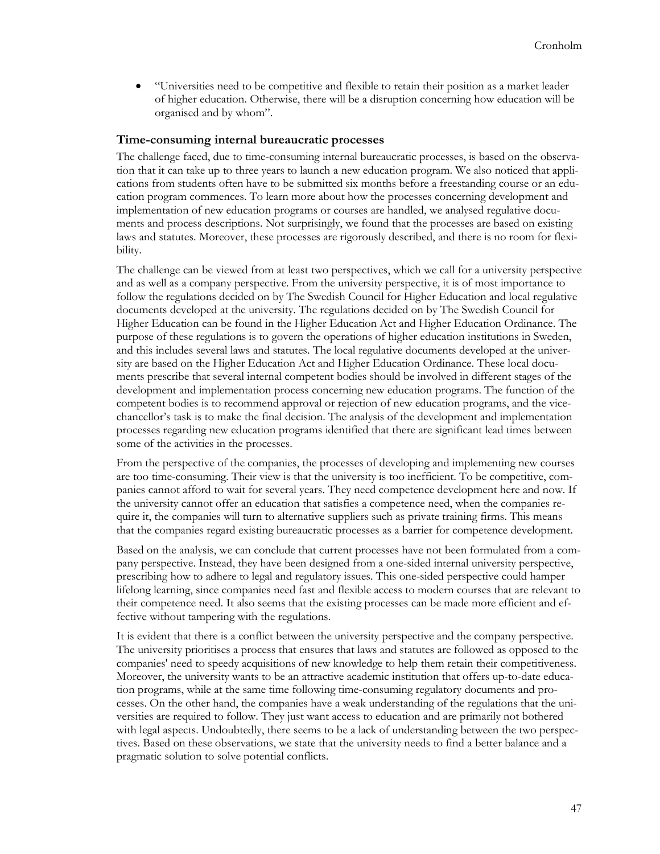• "Universities need to be competitive and flexible to retain their position as a market leader of higher education. Otherwise, there will be a disruption concerning how education will be organised and by whom".

#### **Time-consuming internal bureaucratic processes**

The challenge faced, due to time-consuming internal bureaucratic processes, is based on the observation that it can take up to three years to launch a new education program. We also noticed that applications from students often have to be submitted six months before a freestanding course or an education program commences. To learn more about how the processes concerning development and implementation of new education programs or courses are handled, we analysed regulative documents and process descriptions. Not surprisingly, we found that the processes are based on existing laws and statutes. Moreover, these processes are rigorously described, and there is no room for flexibility.

The challenge can be viewed from at least two perspectives, which we call for a university perspective and as well as a company perspective. From the university perspective, it is of most importance to follow the regulations decided on by The Swedish Council for Higher Education and local regulative documents developed at the university. The regulations decided on by The Swedish Council for Higher Education can be found in the Higher Education Act and Higher Education Ordinance. The purpose of these regulations is to govern the operations of higher education institutions in Sweden, and this includes several laws and statutes. The local regulative documents developed at the university are based on the Higher Education Act and Higher Education Ordinance. These local documents prescribe that several internal competent bodies should be involved in different stages of the development and implementation process concerning new education programs. The function of the competent bodies is to recommend approval or rejection of new education programs, and the vicechancellor's task is to make the final decision. The analysis of the development and implementation processes regarding new education programs identified that there are significant lead times between some of the activities in the processes.

From the perspective of the companies, the processes of developing and implementing new courses are too time-consuming. Their view is that the university is too inefficient. To be competitive, companies cannot afford to wait for several years. They need competence development here and now. If the university cannot offer an education that satisfies a competence need, when the companies require it, the companies will turn to alternative suppliers such as private training firms. This means that the companies regard existing bureaucratic processes as a barrier for competence development.

Based on the analysis, we can conclude that current processes have not been formulated from a company perspective. Instead, they have been designed from a one-sided internal university perspective, prescribing how to adhere to legal and regulatory issues. This one-sided perspective could hamper lifelong learning, since companies need fast and flexible access to modern courses that are relevant to their competence need. It also seems that the existing processes can be made more efficient and effective without tampering with the regulations.

It is evident that there is a conflict between the university perspective and the company perspective. The university prioritises a process that ensures that laws and statutes are followed as opposed to the companies' need to speedy acquisitions of new knowledge to help them retain their competitiveness. Moreover, the university wants to be an attractive academic institution that offers up-to-date education programs, while at the same time following time-consuming regulatory documents and processes. On the other hand, the companies have a weak understanding of the regulations that the universities are required to follow. They just want access to education and are primarily not bothered with legal aspects. Undoubtedly, there seems to be a lack of understanding between the two perspectives. Based on these observations, we state that the university needs to find a better balance and a pragmatic solution to solve potential conflicts.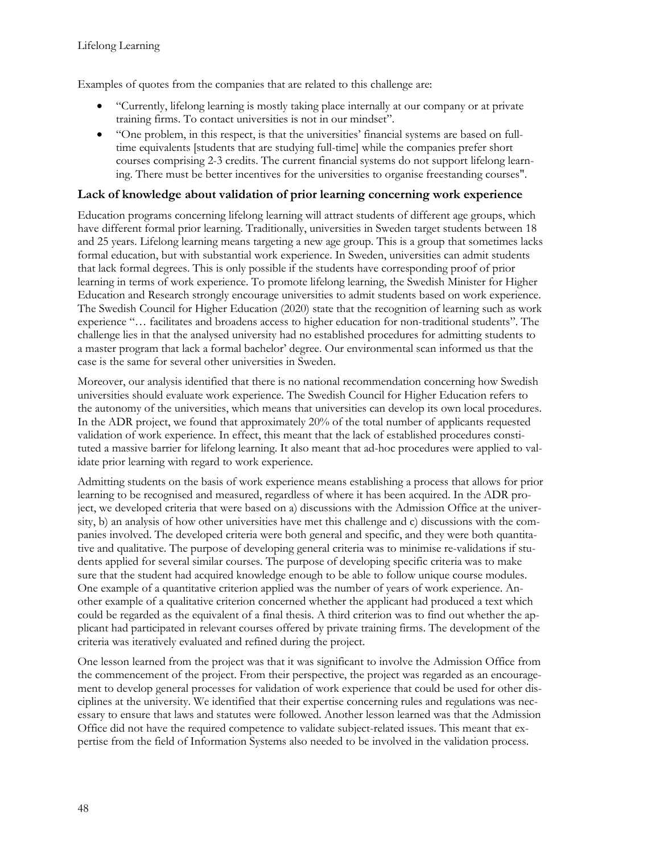Examples of quotes from the companies that are related to this challenge are:

- "Currently, lifelong learning is mostly taking place internally at our company or at private training firms. To contact universities is not in our mindset".
- "One problem, in this respect, is that the universities' financial systems are based on fulltime equivalents [students that are studying full-time] while the companies prefer short courses comprising 2-3 credits. The current financial systems do not support lifelong learning. There must be better incentives for the universities to organise freestanding courses".

#### **Lack of knowledge about validation of prior learning concerning work experience**

Education programs concerning lifelong learning will attract students of different age groups, which have different formal prior learning. Traditionally, universities in Sweden target students between 18 and 25 years. Lifelong learning means targeting a new age group. This is a group that sometimes lacks formal education, but with substantial work experience. In Sweden, universities can admit students that lack formal degrees. This is only possible if the students have corresponding proof of prior learning in terms of work experience. To promote lifelong learning, the Swedish Minister for Higher Education and Research strongly encourage universities to admit students based on work experience. The Swedish Council for Higher Education (2020) state that the recognition of learning such as work experience "… facilitates and broadens access to higher education for non-traditional students". The challenge lies in that the analysed university had no established procedures for admitting students to a master program that lack a formal bachelor' degree. Our environmental scan informed us that the case is the same for several other universities in Sweden.

Moreover, our analysis identified that there is no national recommendation concerning how Swedish universities should evaluate work experience. The Swedish Council for Higher Education refers to the autonomy of the universities, which means that universities can develop its own local procedures. In the ADR project, we found that approximately 20% of the total number of applicants requested validation of work experience. In effect, this meant that the lack of established procedures constituted a massive barrier for lifelong learning. It also meant that ad-hoc procedures were applied to validate prior learning with regard to work experience.

Admitting students on the basis of work experience means establishing a process that allows for prior learning to be recognised and measured, regardless of where it has been acquired. In the ADR project, we developed criteria that were based on a) discussions with the Admission Office at the university, b) an analysis of how other universities have met this challenge and c) discussions with the companies involved. The developed criteria were both general and specific, and they were both quantitative and qualitative. The purpose of developing general criteria was to minimise re-validations if students applied for several similar courses. The purpose of developing specific criteria was to make sure that the student had acquired knowledge enough to be able to follow unique course modules. One example of a quantitative criterion applied was the number of years of work experience. Another example of a qualitative criterion concerned whether the applicant had produced a text which could be regarded as the equivalent of a final thesis. A third criterion was to find out whether the applicant had participated in relevant courses offered by private training firms. The development of the criteria was iteratively evaluated and refined during the project.

One lesson learned from the project was that it was significant to involve the Admission Office from the commencement of the project. From their perspective, the project was regarded as an encouragement to develop general processes for validation of work experience that could be used for other disciplines at the university. We identified that their expertise concerning rules and regulations was necessary to ensure that laws and statutes were followed. Another lesson learned was that the Admission Office did not have the required competence to validate subject-related issues. This meant that expertise from the field of Information Systems also needed to be involved in the validation process.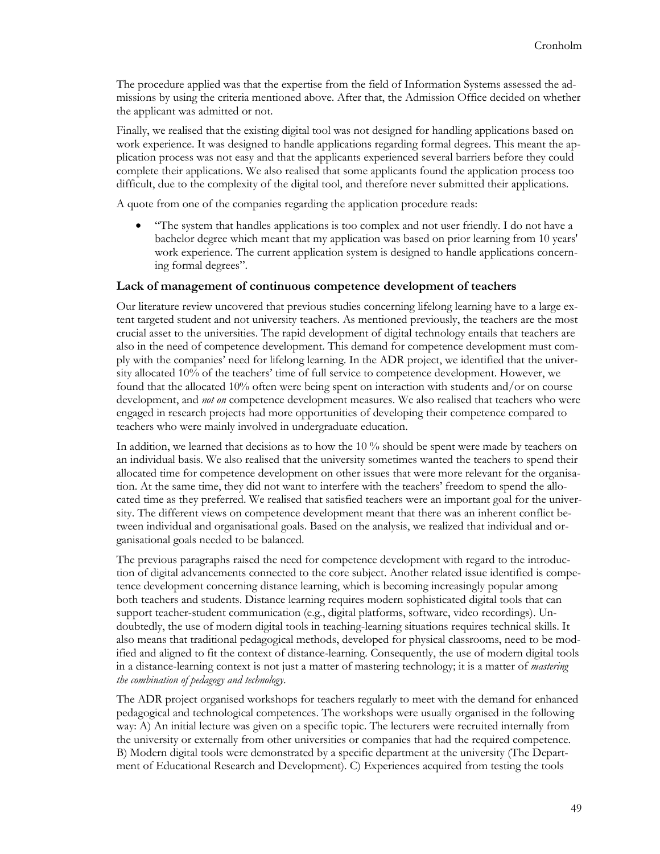The procedure applied was that the expertise from the field of Information Systems assessed the admissions by using the criteria mentioned above. After that, the Admission Office decided on whether the applicant was admitted or not.

Finally, we realised that the existing digital tool was not designed for handling applications based on work experience. It was designed to handle applications regarding formal degrees. This meant the application process was not easy and that the applicants experienced several barriers before they could complete their applications. We also realised that some applicants found the application process too difficult, due to the complexity of the digital tool, and therefore never submitted their applications.

A quote from one of the companies regarding the application procedure reads:

• "The system that handles applications is too complex and not user friendly. I do not have a bachelor degree which meant that my application was based on prior learning from 10 years' work experience. The current application system is designed to handle applications concerning formal degrees".

#### **Lack of management of continuous competence development of teachers**

Our literature review uncovered that previous studies concerning lifelong learning have to a large extent targeted student and not university teachers. As mentioned previously, the teachers are the most crucial asset to the universities. The rapid development of digital technology entails that teachers are also in the need of competence development. This demand for competence development must comply with the companies' need for lifelong learning. In the ADR project, we identified that the university allocated 10% of the teachers' time of full service to competence development. However, we found that the allocated 10% often were being spent on interaction with students and/or on course development, and *not on* competence development measures. We also realised that teachers who were engaged in research projects had more opportunities of developing their competence compared to teachers who were mainly involved in undergraduate education.

In addition, we learned that decisions as to how the 10 % should be spent were made by teachers on an individual basis. We also realised that the university sometimes wanted the teachers to spend their allocated time for competence development on other issues that were more relevant for the organisation. At the same time, they did not want to interfere with the teachers' freedom to spend the allocated time as they preferred. We realised that satisfied teachers were an important goal for the university. The different views on competence development meant that there was an inherent conflict between individual and organisational goals. Based on the analysis, we realized that individual and organisational goals needed to be balanced.

The previous paragraphs raised the need for competence development with regard to the introduction of digital advancements connected to the core subject. Another related issue identified is competence development concerning distance learning, which is becoming increasingly popular among both teachers and students. Distance learning requires modern sophisticated digital tools that can support teacher-student communication (e.g., digital platforms, software, video recordings). Undoubtedly, the use of modern digital tools in teaching-learning situations requires technical skills. It also means that traditional pedagogical methods, developed for physical classrooms, need to be modified and aligned to fit the context of distance-learning. Consequently, the use of modern digital tools in a distance-learning context is not just a matter of mastering technology; it is a matter of *mastering the combination of pedagogy and technology*.

The ADR project organised workshops for teachers regularly to meet with the demand for enhanced pedagogical and technological competences. The workshops were usually organised in the following way: A) An initial lecture was given on a specific topic. The lecturers were recruited internally from the university or externally from other universities or companies that had the required competence. B) Modern digital tools were demonstrated by a specific department at the university (The Department of Educational Research and Development). C) Experiences acquired from testing the tools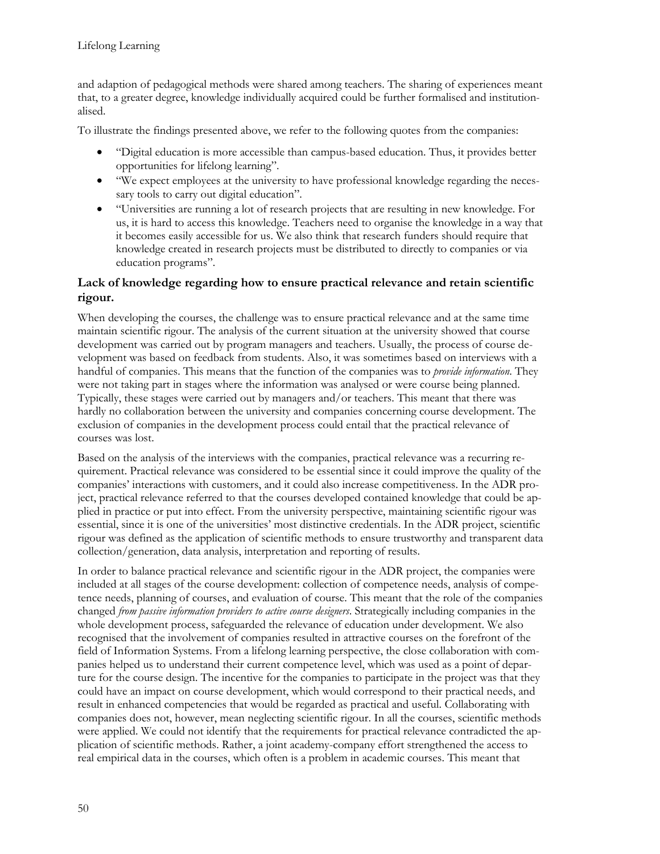and adaption of pedagogical methods were shared among teachers. The sharing of experiences meant that, to a greater degree, knowledge individually acquired could be further formalised and institutionalised.

To illustrate the findings presented above, we refer to the following quotes from the companies:

- "Digital education is more accessible than campus-based education. Thus, it provides better opportunities for lifelong learning".
- "We expect employees at the university to have professional knowledge regarding the necessary tools to carry out digital education".
- "Universities are running a lot of research projects that are resulting in new knowledge. For us, it is hard to access this knowledge. Teachers need to organise the knowledge in a way that it becomes easily accessible for us. We also think that research funders should require that knowledge created in research projects must be distributed to directly to companies or via education programs".

### **Lack of knowledge regarding how to ensure practical relevance and retain scientific rigour.**

When developing the courses, the challenge was to ensure practical relevance and at the same time maintain scientific rigour. The analysis of the current situation at the university showed that course development was carried out by program managers and teachers. Usually, the process of course development was based on feedback from students. Also, it was sometimes based on interviews with a handful of companies. This means that the function of the companies was to *provide information*. They were not taking part in stages where the information was analysed or were course being planned. Typically, these stages were carried out by managers and/or teachers. This meant that there was hardly no collaboration between the university and companies concerning course development. The exclusion of companies in the development process could entail that the practical relevance of courses was lost.

Based on the analysis of the interviews with the companies, practical relevance was a recurring requirement. Practical relevance was considered to be essential since it could improve the quality of the companies' interactions with customers, and it could also increase competitiveness. In the ADR project, practical relevance referred to that the courses developed contained knowledge that could be applied in practice or put into effect. From the university perspective, maintaining scientific rigour was essential, since it is one of the universities' most distinctive credentials. In the ADR project, scientific rigour was defined as the application of scientific methods to ensure trustworthy and transparent data collection/generation, data analysis, interpretation and reporting of results.

In order to balance practical relevance and scientific rigour in the ADR project, the companies were included at all stages of the course development: collection of competence needs, analysis of competence needs, planning of courses, and evaluation of course. This meant that the role of the companies changed *from passive information providers to active course designers*. Strategically including companies in the whole development process, safeguarded the relevance of education under development. We also recognised that the involvement of companies resulted in attractive courses on the forefront of the field of Information Systems. From a lifelong learning perspective, the close collaboration with companies helped us to understand their current competence level, which was used as a point of departure for the course design. The incentive for the companies to participate in the project was that they could have an impact on course development, which would correspond to their practical needs, and result in enhanced competencies that would be regarded as practical and useful. Collaborating with companies does not, however, mean neglecting scientific rigour. In all the courses, scientific methods were applied. We could not identify that the requirements for practical relevance contradicted the application of scientific methods. Rather, a joint academy-company effort strengthened the access to real empirical data in the courses, which often is a problem in academic courses. This meant that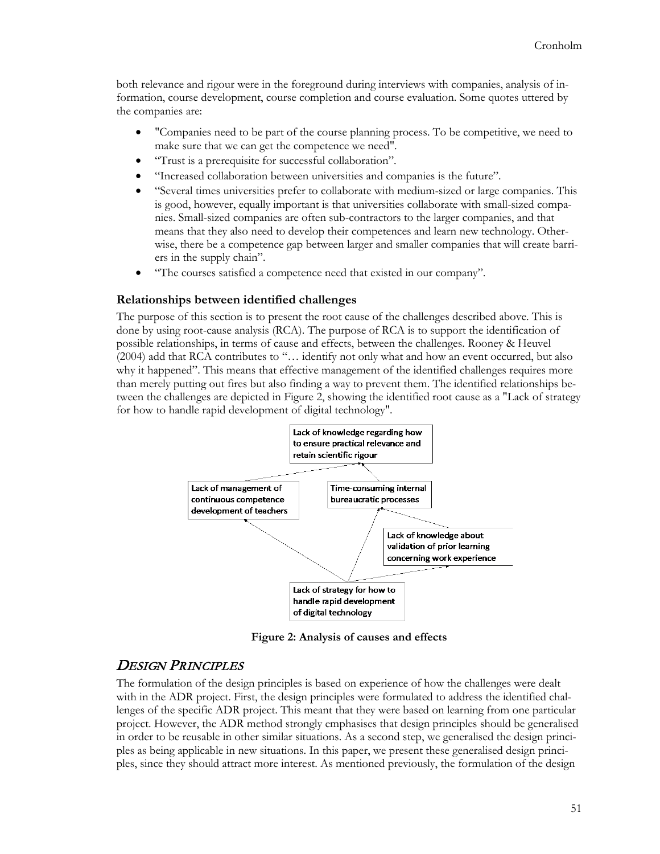both relevance and rigour were in the foreground during interviews with companies, analysis of information, course development, course completion and course evaluation. Some quotes uttered by the companies are:

- "Companies need to be part of the course planning process. To be competitive, we need to make sure that we can get the competence we need".
- "Trust is a prerequisite for successful collaboration".
- "Increased collaboration between universities and companies is the future".
- "Several times universities prefer to collaborate with medium-sized or large companies. This is good, however, equally important is that universities collaborate with small-sized companies. Small-sized companies are often sub-contractors to the larger companies, and that means that they also need to develop their competences and learn new technology. Otherwise, there be a competence gap between larger and smaller companies that will create barriers in the supply chain".
- "The courses satisfied a competence need that existed in our company".

#### **Relationships between identified challenges**

The purpose of this section is to present the root cause of the challenges described above. This is done by using root-cause analysis (RCA). The purpose of RCA is to support the identification of possible relationships, in terms of cause and effects, between the challenges. Rooney & Heuvel (2004) add that RCA contributes to "… identify not only what and how an event occurred, but also why it happened". This means that effective management of the identified challenges requires more than merely putting out fires but also finding a way to prevent them. The identified relationships between the challenges are depicted in Figure 2, showing the identified root cause as a "Lack of strategy for how to handle rapid development of digital technology".



**Figure 2: Analysis of causes and effects**

### **DESIGN PRINCIPLES**

The formulation of the design principles is based on experience of how the challenges were dealt with in the ADR project. First, the design principles were formulated to address the identified challenges of the specific ADR project. This meant that they were based on learning from one particular project. However, the ADR method strongly emphasises that design principles should be generalised in order to be reusable in other similar situations. As a second step, we generalised the design principles as being applicable in new situations. In this paper, we present these generalised design principles, since they should attract more interest. As mentioned previously, the formulation of the design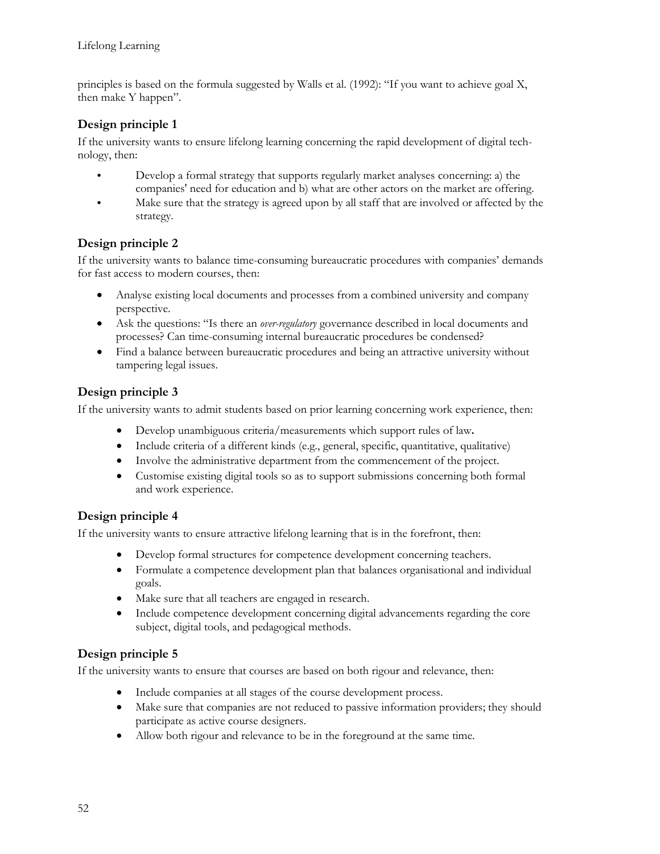principles is based on the formula suggested by Walls et al. (1992): "If you want to achieve goal X, then make Y happen".

### **Design principle 1**

If the university wants to ensure lifelong learning concerning the rapid development of digital technology, then:

- Develop a formal strategy that supports regularly market analyses concerning: a) the companies' need for education and b) what are other actors on the market are offering.
- Make sure that the strategy is agreed upon by all staff that are involved or affected by the strategy.

### **Design principle 2**

If the university wants to balance time-consuming bureaucratic procedures with companies' demands for fast access to modern courses, then:

- Analyse existing local documents and processes from a combined university and company perspective.
- Ask the questions: "Is there an *over-regulatory* governance described in local documents and processes? Can time-consuming internal bureaucratic procedures be condensed?
- Find a balance between bureaucratic procedures and being an attractive university without tampering legal issues.

### **Design principle 3**

If the university wants to admit students based on prior learning concerning work experience, then:

- Develop unambiguous criteria/measurements which support rules of law**.**
- Include criteria of a different kinds (e.g., general, specific, quantitative, qualitative)
- Involve the administrative department from the commencement of the project.
- Customise existing digital tools so as to support submissions concerning both formal and work experience.

### **Design principle 4**

If the university wants to ensure attractive lifelong learning that is in the forefront, then:

- Develop formal structures for competence development concerning teachers.
- Formulate a competence development plan that balances organisational and individual goals.
- Make sure that all teachers are engaged in research.
- Include competence development concerning digital advancements regarding the core subject, digital tools, and pedagogical methods.

### **Design principle 5**

If the university wants to ensure that courses are based on both rigour and relevance, then:

- Include companies at all stages of the course development process.
- Make sure that companies are not reduced to passive information providers; they should participate as active course designers.
- Allow both rigour and relevance to be in the foreground at the same time.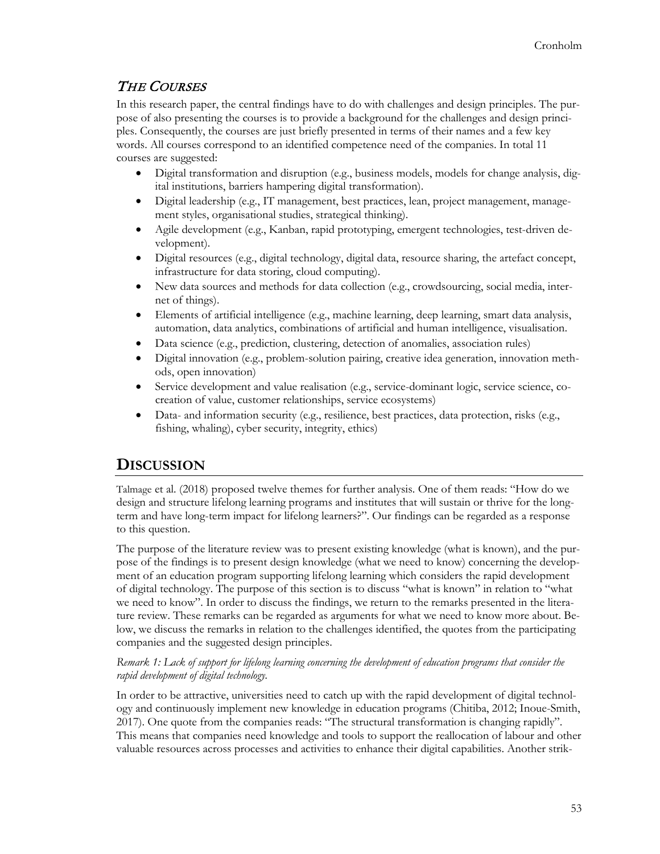## THE COURSES

In this research paper, the central findings have to do with challenges and design principles. The purpose of also presenting the courses is to provide a background for the challenges and design principles. Consequently, the courses are just briefly presented in terms of their names and a few key words. All courses correspond to an identified competence need of the companies. In total 11 courses are suggested:

- Digital transformation and disruption (e.g., business models, models for change analysis, digital institutions, barriers hampering digital transformation).
- Digital leadership (e.g., IT management, best practices, lean, project management, management styles, organisational studies, strategical thinking).
- Agile development (e.g., Kanban, rapid prototyping, emergent technologies, test-driven development).
- Digital resources (e.g., digital technology, digital data, resource sharing, the artefact concept, infrastructure for data storing, cloud computing).
- New data sources and methods for data collection (e.g., crowdsourcing, social media, internet of things).
- Elements of artificial intelligence (e.g., machine learning, deep learning, smart data analysis, automation, data analytics, combinations of artificial and human intelligence, visualisation.
- Data science (e.g., prediction, clustering, detection of anomalies, association rules)
- Digital innovation (e.g., problem-solution pairing, creative idea generation, innovation methods, open innovation)
- Service development and value realisation (e.g., service-dominant logic, service science, cocreation of value, customer relationships, service ecosystems)
- Data- and information security (e.g., resilience, best practices, data protection, risks (e.g., fishing, whaling), cyber security, integrity, ethics)

## **DISCUSSION**

Talmage et al. (2018) proposed twelve themes for further analysis. One of them reads: "How do we design and structure lifelong learning programs and institutes that will sustain or thrive for the longterm and have long-term impact for lifelong learners?". Our findings can be regarded as a response to this question.

The purpose of the literature review was to present existing knowledge (what is known), and the purpose of the findings is to present design knowledge (what we need to know) concerning the development of an education program supporting lifelong learning which considers the rapid development of digital technology. The purpose of this section is to discuss "what is known" in relation to "what we need to know". In order to discuss the findings, we return to the remarks presented in the literature review. These remarks can be regarded as arguments for what we need to know more about. Below, we discuss the remarks in relation to the challenges identified, the quotes from the participating companies and the suggested design principles.

#### *Remark 1: Lack of support for lifelong learning concerning the development of education programs that consider the rapid development of digital technology.*

In order to be attractive, universities need to catch up with the rapid development of digital technology and continuously implement new knowledge in education programs (Chitiba, 2012; Inoue-Smith, 2017). One quote from the companies reads: "The structural transformation is changing rapidly". This means that companies need knowledge and tools to support the reallocation of labour and other valuable resources across processes and activities to enhance their digital capabilities. Another strik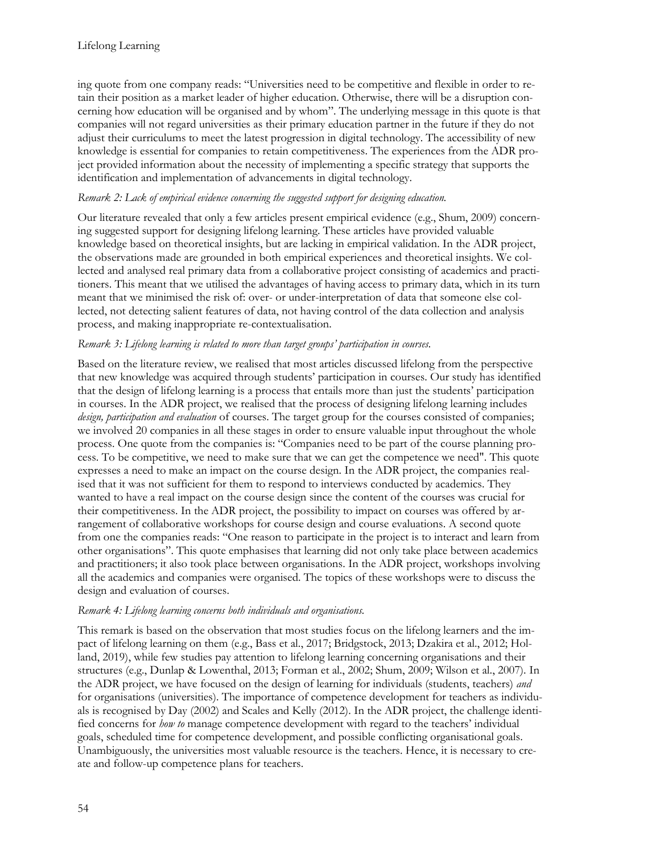ing quote from one company reads: "Universities need to be competitive and flexible in order to retain their position as a market leader of higher education. Otherwise, there will be a disruption concerning how education will be organised and by whom". The underlying message in this quote is that companies will not regard universities as their primary education partner in the future if they do not adjust their curriculums to meet the latest progression in digital technology. The accessibility of new knowledge is essential for companies to retain competitiveness. The experiences from the ADR project provided information about the necessity of implementing a specific strategy that supports the identification and implementation of advancements in digital technology.

#### *Remark 2: Lack of empirical evidence concerning the suggested support for designing education.*

Our literature revealed that only a few articles present empirical evidence (e.g., Shum, 2009) concerning suggested support for designing lifelong learning. These articles have provided valuable knowledge based on theoretical insights, but are lacking in empirical validation. In the ADR project, the observations made are grounded in both empirical experiences and theoretical insights. We collected and analysed real primary data from a collaborative project consisting of academics and practitioners. This meant that we utilised the advantages of having access to primary data, which in its turn meant that we minimised the risk of: over- or under-interpretation of data that someone else collected, not detecting salient features of data, not having control of the data collection and analysis process, and making inappropriate re-contextualisation.

#### *Remark 3: Lifelong learning is related to more than target groups' participation in courses.*

Based on the literature review, we realised that most articles discussed lifelong from the perspective that new knowledge was acquired through students' participation in courses. Our study has identified that the design of lifelong learning is a process that entails more than just the students' participation in courses. In the ADR project, we realised that the process of designing lifelong learning includes *design, participation and evaluation* of courses. The target group for the courses consisted of companies; we involved 20 companies in all these stages in order to ensure valuable input throughout the whole process. One quote from the companies is: "Companies need to be part of the course planning process. To be competitive, we need to make sure that we can get the competence we need". This quote expresses a need to make an impact on the course design. In the ADR project, the companies realised that it was not sufficient for them to respond to interviews conducted by academics. They wanted to have a real impact on the course design since the content of the courses was crucial for their competitiveness. In the ADR project, the possibility to impact on courses was offered by arrangement of collaborative workshops for course design and course evaluations. A second quote from one the companies reads: "One reason to participate in the project is to interact and learn from other organisations". This quote emphasises that learning did not only take place between academics and practitioners; it also took place between organisations. In the ADR project, workshops involving all the academics and companies were organised. The topics of these workshops were to discuss the design and evaluation of courses.

#### *Remark 4: Lifelong learning concerns both individuals and organisations.*

This remark is based on the observation that most studies focus on the lifelong learners and the impact of lifelong learning on them (e.g., Bass et al., 2017; Bridgstock, 2013; Dzakira et al., 2012; Holland, 2019), while few studies pay attention to lifelong learning concerning organisations and their structures (e.g., Dunlap & Lowenthal, 2013; Forman et al., 2002; Shum, 2009; Wilson et al., 2007). In the ADR project, we have focused on the design of learning for individuals (students, teachers) *and* for organisations (universities). The importance of competence development for teachers as individuals is recognised by Day (2002) and Scales and Kelly (2012). In the ADR project, the challenge identified concerns for *how to* manage competence development with regard to the teachers' individual goals, scheduled time for competence development, and possible conflicting organisational goals. Unambiguously, the universities most valuable resource is the teachers. Hence, it is necessary to create and follow-up competence plans for teachers.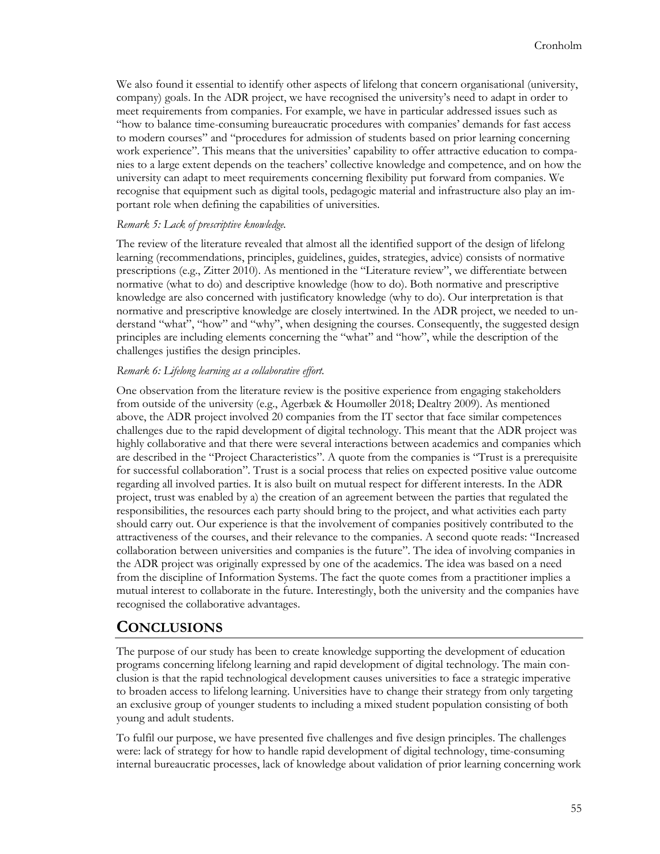We also found it essential to identify other aspects of lifelong that concern organisational (university, company) goals. In the ADR project, we have recognised the university's need to adapt in order to meet requirements from companies. For example, we have in particular addressed issues such as "how to balance time-consuming bureaucratic procedures with companies' demands for fast access to modern courses" and "procedures for admission of students based on prior learning concerning work experience". This means that the universities' capability to offer attractive education to companies to a large extent depends on the teachers' collective knowledge and competence, and on how the university can adapt to meet requirements concerning flexibility put forward from companies. We recognise that equipment such as digital tools, pedagogic material and infrastructure also play an important role when defining the capabilities of universities.

#### *Remark 5: Lack of prescriptive knowledge.*

The review of the literature revealed that almost all the identified support of the design of lifelong learning (recommendations, principles, guidelines, guides, strategies, advice) consists of normative prescriptions (e.g., Zitter 2010). As mentioned in the "Literature review", we differentiate between normative (what to do) and descriptive knowledge (how to do). Both normative and prescriptive knowledge are also concerned with justificatory knowledge (why to do). Our interpretation is that normative and prescriptive knowledge are closely intertwined. In the ADR project, we needed to understand "what", "how" and "why", when designing the courses. Consequently, the suggested design principles are including elements concerning the "what" and "how", while the description of the challenges justifies the design principles.

#### *Remark 6: Lifelong learning as a collaborative effort.*

One observation from the literature review is the positive experience from engaging stakeholders from outside of the university (e.g., Agerbæk & Houmøller 2018; Dealtry 2009). As mentioned above, the ADR project involved 20 companies from the IT sector that face similar competences challenges due to the rapid development of digital technology. This meant that the ADR project was highly collaborative and that there were several interactions between academics and companies which are described in the "Project Characteristics". A quote from the companies is "Trust is a prerequisite for successful collaboration". Trust is a social process that relies on expected positive value outcome regarding all involved parties. It is also built on mutual respect for different interests. In the ADR project, trust was enabled by a) the creation of an agreement between the parties that regulated the responsibilities, the resources each party should bring to the project, and what activities each party should carry out. Our experience is that the involvement of companies positively contributed to the attractiveness of the courses, and their relevance to the companies. A second quote reads: "Increased collaboration between universities and companies is the future". The idea of involving companies in the ADR project was originally expressed by one of the academics. The idea was based on a need from the discipline of Information Systems. The fact the quote comes from a practitioner implies a mutual interest to collaborate in the future. Interestingly, both the university and the companies have recognised the collaborative advantages.

## **CONCLUSIONS**

The purpose of our study has been to create knowledge supporting the development of education programs concerning lifelong learning and rapid development of digital technology. The main conclusion is that the rapid technological development causes universities to face a strategic imperative to broaden access to lifelong learning. Universities have to change their strategy from only targeting an exclusive group of younger students to including a mixed student population consisting of both young and adult students.

To fulfil our purpose, we have presented five challenges and five design principles. The challenges were: lack of strategy for how to handle rapid development of digital technology, time-consuming internal bureaucratic processes, lack of knowledge about validation of prior learning concerning work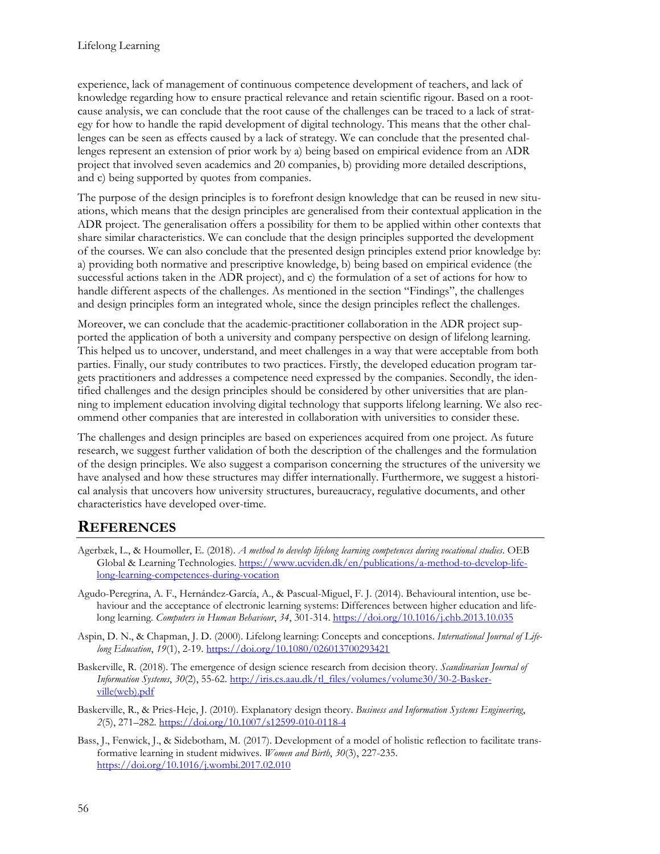experience, lack of management of continuous competence development of teachers, and lack of knowledge regarding how to ensure practical relevance and retain scientific rigour. Based on a rootcause analysis, we can conclude that the root cause of the challenges can be traced to a lack of strategy for how to handle the rapid development of digital technology. This means that the other challenges can be seen as effects caused by a lack of strategy. We can conclude that the presented challenges represent an extension of prior work by a) being based on empirical evidence from an ADR project that involved seven academics and 20 companies, b) providing more detailed descriptions, and c) being supported by quotes from companies.

The purpose of the design principles is to forefront design knowledge that can be reused in new situations, which means that the design principles are generalised from their contextual application in the ADR project. The generalisation offers a possibility for them to be applied within other contexts that share similar characteristics. We can conclude that the design principles supported the development of the courses. We can also conclude that the presented design principles extend prior knowledge by: a) providing both normative and prescriptive knowledge, b) being based on empirical evidence (the successful actions taken in the ADR project), and c) the formulation of a set of actions for how to handle different aspects of the challenges. As mentioned in the section "Findings", the challenges and design principles form an integrated whole, since the design principles reflect the challenges.

Moreover, we can conclude that the academic-practitioner collaboration in the ADR project supported the application of both a university and company perspective on design of lifelong learning. This helped us to uncover, understand, and meet challenges in a way that were acceptable from both parties. Finally, our study contributes to two practices. Firstly, the developed education program targets practitioners and addresses a competence need expressed by the companies. Secondly, the identified challenges and the design principles should be considered by other universities that are planning to implement education involving digital technology that supports lifelong learning. We also recommend other companies that are interested in collaboration with universities to consider these.

The challenges and design principles are based on experiences acquired from one project. As future research, we suggest further validation of both the description of the challenges and the formulation of the design principles. We also suggest a comparison concerning the structures of the university we have analysed and how these structures may differ internationally. Furthermore, we suggest a historical analysis that uncovers how university structures, bureaucracy, regulative documents, and other characteristics have developed over-time.

## **REFERENCES**

- Agerbæk, L., & Houmøller, E. (2018). *A method to develop lifelong learning competences during vocational studies*. OEB Global & Learning Technologies. [https://www.ucviden.dk/en/publications/a](https://www.ucviden.dk/en/publications/a-method-to-develop-lifelong-learning-competences-during-vocation)-method-to-develop-life[long-learning-](https://www.ucviden.dk/en/publications/a-method-to-develop-lifelong-learning-competences-during-vocation)competences-during-vocation
- Agudo-Peregrina, A. F., Hernández-García, A., & Pascual-Miguel, F. J. (2014). Behavioural intention, use behaviour and the acceptance of electronic learning systems: Differences between higher education and lifelong learning. *Computers in Human Behaviour*, *34*, 301-314. <https://doi.org/10.1016/j.chb.2013.10.035>
- Aspin, D. N., & Chapman, J. D. (2000). Lifelong learning: Concepts and conceptions. *International Journal of Lifelong Education*, *19*(1), 2-19. <https://doi.org/10.1080/026013700293421>
- Baskerville, R. (2018). The emergence of design science research from decision theory. *Scandinavian Journal of Information Systems*, *30*(2), 55-62. [http://iris.cs.aau.dk/tl\\_files/volumes/volume30/30](http://iris.cs.aau.dk/tl_files/volumes/volume30/30-2-Baskerville(web).pdf)-2-Basker[ville\(web\).pdf](http://iris.cs.aau.dk/tl_files/volumes/volume30/30-2-Baskerville(web).pdf)
- Baskerville, R., & Pries-Heje, J. (2010). Explanatory design theory. *Business and Information Systems Engineering*, *2*(5), 271–282[. https://doi.org/10.1007/s12599](https://doi.org/10.1007/s12599-010-0118-4)-010-0118-4
- Bass, J., Fenwick, J., & Sidebotham, M. (2017). Development of a model of holistic reflection to facilitate transformative learning in student midwives. *Women and Birth*, *30*(3), 227-235. <https://doi.org/10.1016/j.wombi.2017.02.010>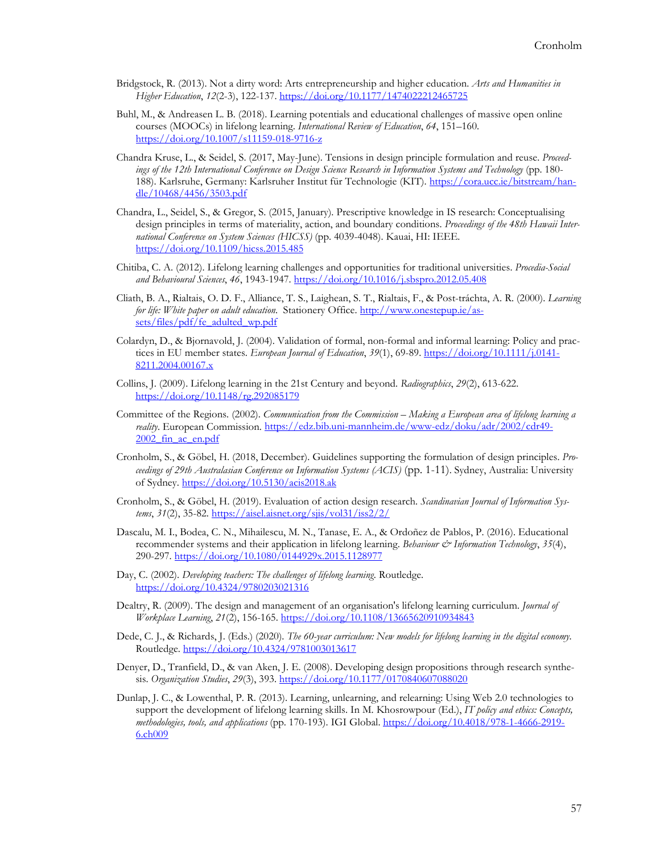- Bridgstock, R. (2013). Not a dirty word: Arts entrepreneurship and higher education. *Arts and Humanities in Higher Education*, *12*(2-3), 122-137. <https://doi.org/10.1177/1474022212465725>
- Buhl, M., & Andreasen L. B. (2018). Learning potentials and educational challenges of massive open online courses (MOOCs) in lifelong learning. *International Review of Education*, *64*, 151–160. [https://doi.org/10.1007/s11159](https://doi.org/10.1007/s11159-018-9716-z)-018-9716-z
- Chandra Kruse, L., & Seidel, S. (2017, May-June). Tensions in design principle formulation and reuse. *Proceedings of the 12th International Conference on Design Science Research in Information Systems and Technology* (pp. 180 188). Karlsruhe, Germany: Karlsruher Institut für Technologie (KIT). [https://cora.ucc.ie/bitstream/han](https://cora.ucc.ie/bitstream/handle/10468/4456/3503.pdf)[dle/10468/4456/3503.pdf](https://cora.ucc.ie/bitstream/handle/10468/4456/3503.pdf)
- Chandra, L., Seidel, S., & Gregor, S. (2015, January). Prescriptive knowledge in IS research: Conceptualising design principles in terms of materiality, action, and boundary conditions. *Proceedings of the 48th Hawaii International Conference on System Sciences (HICSS)* (pp. 4039-4048). Kauai, HI: IEEE. <https://doi.org/10.1109/hicss.2015.485>
- Chitiba, C. A. (2012). Lifelong learning challenges and opportunities for traditional universities. *Procedia-Social and Behavioural Sciences*, *46*, 1943-1947. <https://doi.org/10.1016/j.sbspro.2012.05.408>
- Cliath, B. A., Rialtais, O. D. F., Alliance, T. S., Laighean, S. T., Rialtais, F., & Post-tráchta, A. R. (2000). *Learning for life: White paper on adult education*. Stationery Office. [http://www.onestepup.ie/as](http://www.onestepup.ie/assets/files/pdf/fe_adulted_wp.pdf)[sets/files/pdf/fe\\_adulted\\_wp.pdf](http://www.onestepup.ie/assets/files/pdf/fe_adulted_wp.pdf)
- Colardyn, D., & Bjornavold, J. (2004). Validation of formal, non-formal and informal learning: Policy and practices in EU member states. *European Journal of Education*, *39*(1), 69-89. [https://doi.org/10.1111/j.0141](https://doi.org/10.1111/j.0141-8211.2004.00167.x)- [8211.2004.00167.x](https://doi.org/10.1111/j.0141-8211.2004.00167.x)
- Collins, J. (2009). Lifelong learning in the 21st Century and beyond. *Radiographics*, *29*(2), 613-622. <https://doi.org/10.1148/rg.292085179>
- Committee of the Regions. (2002). *Communication from the Commission – Making a European area of lifelong learning a reality*. European Commission. https://edz.bib.uni-mannheim.de/www-[edz/doku/adr/2002/cdr49](https://edz.bib.uni-mannheim.de/www-edz/doku/adr/2002/cdr49-2002_fin_ac_en.pdf)- [2002\\_fin\\_ac\\_en.pdf](https://edz.bib.uni-mannheim.de/www-edz/doku/adr/2002/cdr49-2002_fin_ac_en.pdf)
- Cronholm, S., & Göbel, H. (2018, December). Guidelines supporting the formulation of design principles. *Proceedings of 29th Australasian Conference on Information Systems (ACIS)* (pp. 1-11). Sydney, Australia: University of Sydney. <https://doi.org/10.5130/acis2018.ak>
- Cronholm, S., & Göbel, H. (2019). Evaluation of action design research. *Scandinavian Journal of Information Systems*, *31*(2), 35-82. <https://aisel.aisnet.org/sjis/vol31/iss2/2/>
- Dascalu, M. I., Bodea, C. N., Mihailescu, M. N., Tanase, E. A., & Ordoñez de Pablos, P. (2016). Educational recommender systems and their application in lifelong learning. *Behaviour & Information Technology*, *35*(4), 290-297. <https://doi.org/10.1080/0144929x.2015.1128977>
- Day, C. (2002). *Developing teachers: The challenges of lifelong learning*. Routledge. <https://doi.org/10.4324/9780203021316>
- Dealtry, R. (2009). The design and management of an organisation's lifelong learning curriculum. *Journal of Workplace Learning*, *21*(2), 156-165. <https://doi.org/10.1108/13665620910934843>
- Dede, C. J., & Richards, J. (Eds.) (2020). *The 60-year curriculum: New models for lifelong learning in the digital economy*. Routledge. <https://doi.org/10.4324/9781003013617>
- Denyer, D., Tranfield, D., & van Aken, J. E. (2008). Developing design propositions through research synthesis. *Organization Studies*, *29*(3), 393.<https://doi.org/10.1177/0170840607088020>
- Dunlap, J. C., & Lowenthal, P. R. (2013). Learning, unlearning, and relearning: Using Web 2.0 technologies to support the development of lifelong learning skills. In M. Khosrowpour (Ed.), *IT policy and ethics: Concepts, methodologies, tools, and applications* (pp. 170-193). IGI Global[. https://doi.org/10.4018/978](https://doi.org/10.4018/978-1-4666-2919-6.ch009)-1-4666-2919- [6.ch009](https://doi.org/10.4018/978-1-4666-2919-6.ch009)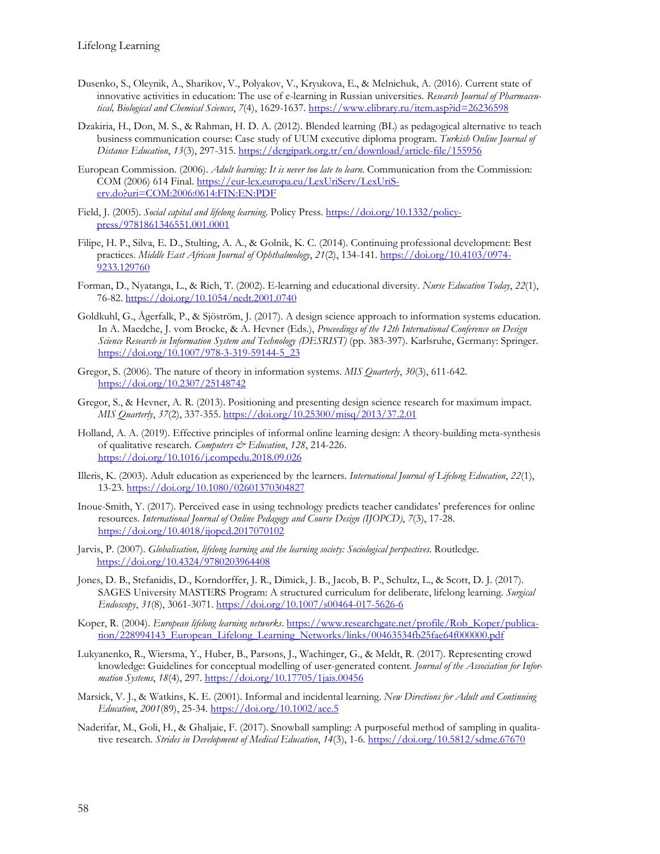- Dusenko, S., Oleynik, A., Sharikov, V., Polyakov, V., Kryukova, E., & Melnichuk, A. (2016). Current state of innovative activities in education: The use of e-learning in Russian universities. *Research Journal of Pharmaceutical, Biological and Chemical Sciences*, *7*(4), 1629-1637. <https://www.elibrary.ru/item.asp?id=26236598>
- Dzakiria, H., Don, M. S., & Rahman, H. D. A. (2012). Blended learning (BL) as pedagogical alternative to teach business communication course: Case study of UUM executive diploma program. *Turkish Online Journal of Distance Education*, *13*(3), 297-315. [https://dergipark.org.tr/en/download/article](https://dergipark.org.tr/en/download/article-file/155956)-file/155956
- European Commission. (2006). *Adult learning: It is never too late to learn*. Communication from the Commission: COM (2006) 614 Final. https://eur-[lex.europa.eu/LexUriServ/LexUriS](https://eur-lex.europa.eu/LexUriServ/LexUriServ.do?uri=COM:2006:0614:FIN:EN:PDF)[erv.do?uri=COM:2006:0614:FIN:EN:PDF](https://eur-lex.europa.eu/LexUriServ/LexUriServ.do?uri=COM:2006:0614:FIN:EN:PDF)
- Field, J. (2005). *Social capital and lifelong learning*. Policy Press. [https://doi.org/10.1332/policy](https://doi.org/10.1332/policypress/9781861346551.001.0001)[press/9781861346551.001.0001](https://doi.org/10.1332/policypress/9781861346551.001.0001)
- Filipe, H. P., Silva, E. D., Stulting, A. A., & Golnik, K. C. (2014). Continuing professional development: Best practices. *Middle East African Journal of Ophthalmology*, *21*(2), 134-141. [https://doi.org/10.4103/0974](https://doi.org/10.4103/0974-9233.129760)- [9233.129760](https://doi.org/10.4103/0974-9233.129760)
- Forman, D., Nyatanga, L., & Rich, T. (2002). E-learning and educational diversity. *Nurse Education Today*, *22*(1), 76-82. <https://doi.org/10.1054/nedt.2001.0740>
- Goldkuhl, G., Ågerfalk, P., & Sjöström, J. (2017). A design science approach to information systems education. In A. Maedche, J. vom Brocke, & A. Hevner (Eds.), *Proceedings of the 12th International Conference on Design Science Research in Information System and Technology (DESRIST)* (pp. 383-397). Karlsruhe, Germany: Springer. [https://doi.org/10.1007/978](https://doi.org/10.1007/978-3-319-59144-5_23)-3-319-59144-5\_23
- Gregor, S. (2006). The nature of theory in information systems. *MIS Quarterly*, *30*(3), 611-642. <https://doi.org/10.2307/25148742>
- Gregor, S., & Hevner, A. R. (2013). Positioning and presenting design science research for maximum impact. *MIS Quarterly*, *37*(2), 337-355. <https://doi.org/10.25300/misq/2013/37.2.01>
- Holland, A. A. (2019). Effective principles of informal online learning design: A theory-building meta-synthesis of qualitative research. *Computers & Education*, *128*, 214-226. <https://doi.org/10.1016/j.compedu.2018.09.026>
- Illeris, K. (2003). Adult education as experienced by the learners. *International Journal of Lifelong Education*, *22*(1), 13-23. <https://doi.org/10.1080/02601370304827>
- Inoue-Smith, Y. (2017). Perceived ease in using technology predicts teacher candidates' preferences for online resources. *International Journal of Online Pedagogy and Course Design (IJOPCD)*, *7*(3), 17-28. <https://doi.org/10.4018/ijopcd.2017070102>
- Jarvis, P. (2007). *Globalisation, lifelong learning and the learning society: Sociological perspectives*. Routledge. <https://doi.org/10.4324/9780203964408>
- Jones, D. B., Stefanidis, D., Korndorffer, J. R., Dimick, J. B., Jacob, B. P., Schultz, L., & Scott, D. J. (2017). SAGES University MASTERS Program: A structured curriculum for deliberate, lifelong learning. *Surgical Endoscopy*, *31*(8), 3061-3071. [https://doi.org/10.1007/s00464](https://doi.org/10.1007/s00464-017-5626-6)-017-5626-6

Koper, R. (2004). *European lifelong learning networks*. [https://www.researchgate.net/profile/Rob\\_Koper/publica](https://www.researchgate.net/profile/Rob_Koper/publication/228994143_European_Lifelong_Learning_Networks/links/00463534fb25fae64f000000.pdf)[tion/228994143\\_European\\_Lifelong\\_Learning\\_Networks/links/00463534fb25fae64f000000.pdf](https://www.researchgate.net/profile/Rob_Koper/publication/228994143_European_Lifelong_Learning_Networks/links/00463534fb25fae64f000000.pdf)

- Lukyanenko, R., Wiersma, Y., Huber, B., Parsons, J., Wachinger, G., & Meldt, R. (2017). Representing crowd knowledge: Guidelines for conceptual modelling of user-generated content*. Journal of the Association for Information Systems*, *18*(4), 297. <https://doi.org/10.17705/1jais.00456>
- Marsick, V. J., & Watkins, K. E. (2001). Informal and incidental learning. *New Directions for Adult and Continuing Education*, *2001*(89), 25-34. <https://doi.org/10.1002/ace.5>
- Naderifar, M., Goli, H., & Ghaljaie, F. (2017). Snowball sampling: A purposeful method of sampling in qualitative research. *Strides in Development of Medical Education*, *14*(3), 1-6. <https://doi.org/10.5812/sdme.67670>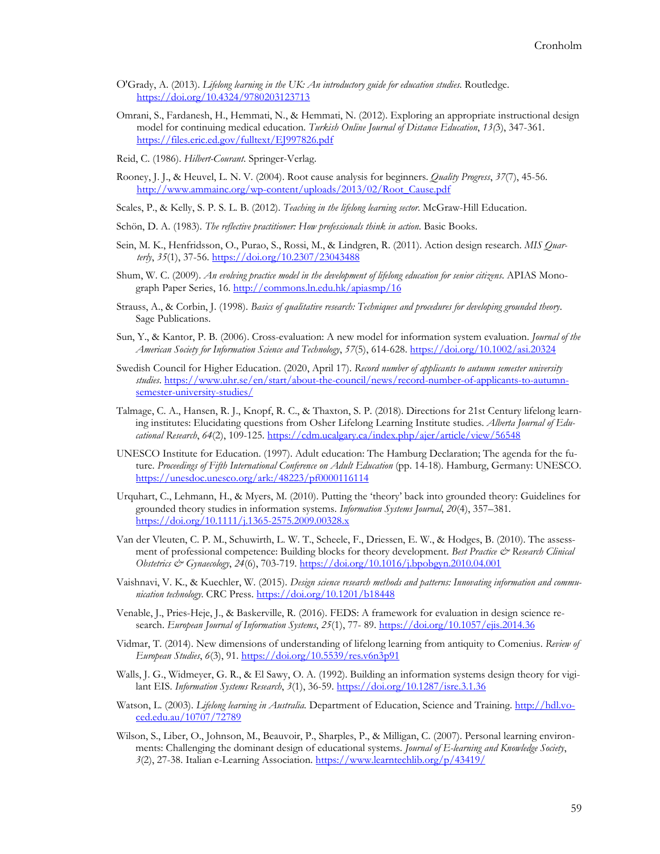- O'Grady, A. (2013). *Lifelong learning in the UK: An introductory guide for education studies*. Routledge. <https://doi.org/10.4324/9780203123713>
- Omrani, S., Fardanesh, H., Hemmati, N., & Hemmati, N. (2012). Exploring an appropriate instructional design model for continuing medical education. *Turkish Online Journal of Distance Education*, *13(*3), 347-361. <https://files.eric.ed.gov/fulltext/EJ997826.pdf>
- Reid, C. (1986). *Hilbert-Courant*. Springer-Verlag.
- Rooney, J. J., & Heuvel, L. N. V. (2004). Root cause analysis for beginners. *Quality Progress*, *37*(7), 45-56. http://www.ammainc.org/wp-[content/uploads/2013/02/Root\\_Cause.pdf](http://www.ammainc.org/wp-content/uploads/2013/02/Root_Cause.pdf)
- Scales, P., & Kelly, S. P. S. L. B. (2012). *Teaching in the lifelong learning sector*. McGraw-Hill Education.
- Schön, D. A. (1983). *The reflective practitioner: How professionals think in action*. Basic Books.
- Sein, M. K., Henfridsson, O., Purao, S., Rossi, M., & Lindgren, R. (2011). Action design research. *MIS Quarterly*, *35*(1), 37-56. <https://doi.org/10.2307/23043488>
- Shum, W. C. (2009). *An evolving practice model in the development of lifelong education for senior citizens*. APIAS Monograph Paper Series, 16.<http://commons.ln.edu.hk/apiasmp/16>
- Strauss, A., & Corbin, J. (1998). *Basics of qualitative research: Techniques and procedures for developing grounded theory*. Sage Publications.
- Sun, Y., & Kantor, P. B. (2006). Cross-evaluation: A new model for information system evaluation. *Journal of the American Society for Information Science and Technology*, *57*(5), 614-628[. https://doi.org/10.1002/asi.20324](https://doi.org/10.1002/asi.20324)
- Swedish Council for Higher Education. (2020, April 17). *Record number of applicants to autumn semester university studies*. [https://www.uhr.se/en/start/about](https://www.uhr.se/en/start/about-the-council/news/record-number-of-applicants-to-autumn-semester-university-studies/)-the-council/news/record-number-of-applicants-to-autumnsemester-[university](https://www.uhr.se/en/start/about-the-council/news/record-number-of-applicants-to-autumn-semester-university-studies/)-studies/
- Talmage, C. A., Hansen, R. J., Knopf, R. C., & Thaxton, S. P. (2018). Directions for 21st Century lifelong learning institutes: Elucidating questions from Osher Lifelong Learning Institute studies. *Alberta Journal of Educational Research*, *64*(2), 109-125.<https://cdm.ucalgary.ca/index.php/ajer/article/view/56548>
- UNESCO Institute for Education. (1997). Adult education: The Hamburg Declaration; The agenda for the future. *Proceedings of Fifth International Conference on Adult Education* (pp. 14-18). Hamburg, Germany: UNESCO. <https://unesdoc.unesco.org/ark:/48223/pf0000116114>
- Urquhart, C., Lehmann, H., & Myers, M. (2010). Putting the 'theory' back into grounded theory: Guidelines for grounded theory studies in information systems. *Information Systems Journal*, *20*(4), 357–381. [https://doi.org/10.1111/j.1365](https://doi.org/10.1111/j.1365-2575.2009.00328.x)-2575.2009.00328.x
- Van der Vleuten, C. P. M., Schuwirth, L. W. T., Scheele, F., Driessen, E. W., & Hodges, B. (2010). The assessment of professional competence: Building blocks for theory development. *Best Practice & Research Clinical Obstetrics & Gynaecology*, *24*(6), 703-719. <https://doi.org/10.1016/j.bpobgyn.2010.04.001>
- Vaishnavi, V. K., & Kuechler, W. (2015). *Design science research methods and patterns: Innovating information and communication technology*. CRC Press. <https://doi.org/10.1201/b18448>
- Venable, J., Pries-Heje, J., & Baskerville, R. (2016). FEDS: A framework for evaluation in design science research. *European Journal of Information Systems*, *25*(1), 77- 89. <https://doi.org/10.1057/ejis.2014.36>
- Vidmar, T. (2014). New dimensions of understanding of lifelong learning from antiquity to Comenius. *Review of European Studies*, *6*(3), 91. <https://doi.org/10.5539/res.v6n3p91>
- Walls, J. G., Widmeyer, G. R., & El Sawy, O. A. (1992). Building an information systems design theory for vigilant EIS. *Information Systems Research*, *3*(1), 36-59. <https://doi.org/10.1287/isre.3.1.36>
- Watson, L. (2003). *Lifelong learning in Australia.* Department of Education, Science and Training. [http://hdl.vo](http://hdl.voced.edu.au/10707/72789)[ced.edu.au/10707/72789](http://hdl.voced.edu.au/10707/72789)
- Wilson, S., Liber, O., Johnson, M., Beauvoir, P., Sharples, P., & Milligan, C. (2007). Personal learning environments: Challenging the dominant design of educational systems. *Journal of E-learning and Knowledge Society*, *3*(2), 27-38. Italian e-Learning Association. <https://www.learntechlib.org/p/43419/>